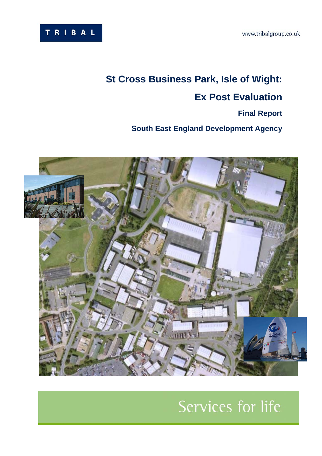

# **St Cross Business Park, Isle of Wight: Ex Post Evaluation**

# **Final Report**

**South East England Development Agency** 



# Services for life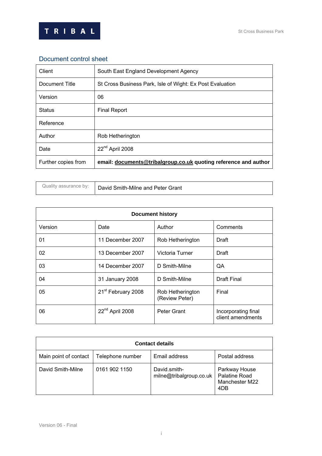



# Document control sheet

| Client              | South East England Development Agency                           |
|---------------------|-----------------------------------------------------------------|
| Document Title      | St Cross Business Park, Isle of Wight: Ex Post Evaluation       |
| Version             | 06                                                              |
| <b>Status</b>       | <b>Final Report</b>                                             |
| Reference           |                                                                 |
| Author              | Rob Hetherington                                                |
| Date                | 22 <sup>nd</sup> April 2008                                     |
| Further copies from | email: documents@tribalgroup.co.uk quoting reference and author |

|  | Quality assurance by:   David Smith-Milne and Peter Grant |
|--|-----------------------------------------------------------|
|--|-----------------------------------------------------------|

| <b>Document history</b> |                                |                                    |                                          |  |  |  |  |
|-------------------------|--------------------------------|------------------------------------|------------------------------------------|--|--|--|--|
| Version                 | Date                           | Author                             | Comments                                 |  |  |  |  |
| 01                      | 11 December 2007               | Rob Hetherington                   | Draft                                    |  |  |  |  |
| 02                      | 13 December 2007               | Victoria Turner                    | Draft                                    |  |  |  |  |
| 03                      | 14 December 2007               | D Smith-Milne                      | QA                                       |  |  |  |  |
| 04                      | 31 January 2008                | D Smith-Milne                      | Draft Final                              |  |  |  |  |
| 05                      | 21 <sup>st</sup> February 2008 | Rob Hetherington<br>(Review Peter) | Final                                    |  |  |  |  |
| 06                      | 22 <sup>nd</sup> April 2008    | Peter Grant                        | Incorporating final<br>client amendments |  |  |  |  |

| <b>Contact details</b> |                  |                                         |                                                         |  |  |  |
|------------------------|------------------|-----------------------------------------|---------------------------------------------------------|--|--|--|
| Main point of contact  | Telephone number | Email address                           | Postal address                                          |  |  |  |
| David Smith-Milne      | 0161 902 1150    | David.smith-<br>milne@tribalgroup.co.uk | Parkway House<br>Palatine Road<br>Manchester M22<br>4DB |  |  |  |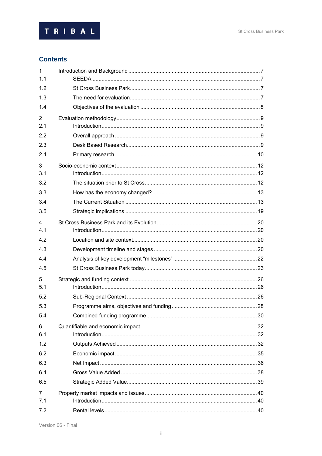

# **Contents**

| $\mathbf{1}$<br>1.1 |  |
|---------------------|--|
| 1.2                 |  |
| 1.3                 |  |
| 1.4                 |  |
| $\overline{2}$      |  |
| 2.1                 |  |
| 2.2                 |  |
| 2.3                 |  |
| 2.4                 |  |
| 3                   |  |
| 3.1                 |  |
| 3.2                 |  |
| 3.3                 |  |
| 3.4                 |  |
| 3.5                 |  |
| $\overline{4}$      |  |
| 4.1                 |  |
| 4.2                 |  |
| 4.3                 |  |
| 4.4                 |  |
| 4.5                 |  |
| 5                   |  |
| 5.1                 |  |
| 5.2                 |  |
| 5.3                 |  |
| 5.4                 |  |
| 6                   |  |
| 6.1                 |  |
| 1.2                 |  |
| 6.2                 |  |
| 6.3                 |  |
| 6.4                 |  |
| 6.5                 |  |
| $\overline{7}$      |  |
| 7.1                 |  |
| 7.2                 |  |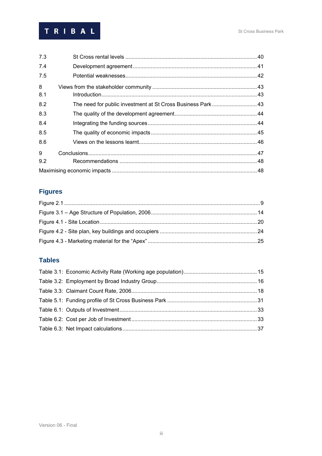

| 7.3 |                                                             |  |
|-----|-------------------------------------------------------------|--|
| 7.4 |                                                             |  |
| 7.5 |                                                             |  |
| 8   |                                                             |  |
| 8.1 |                                                             |  |
| 8.2 | The need for public investment at St Cross Business Park 43 |  |
| 8.3 |                                                             |  |
| 8.4 |                                                             |  |
| 8.5 |                                                             |  |
| 8.6 |                                                             |  |
| 9   |                                                             |  |
| 9.2 |                                                             |  |
|     |                                                             |  |

# **Figures**

# **Tables**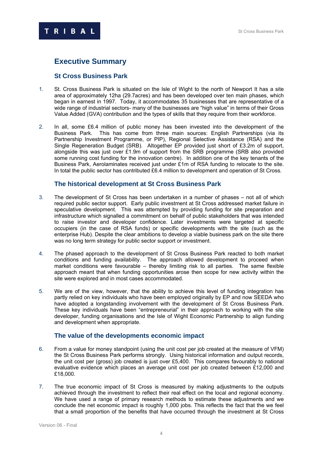# **Executive Summary**

**RIBAL** 

#### **St Cross Business Park**

- 1. St. Cross Business Park is situated on the Isle of Wight to the north of Newport It has a site area of approximately 12ha (29.7acres) and has been developed over ten main phases, which began in earnest in 1997. Today, it accommodates 35 businesses that are representative of a wide range of industrial sectors- many of the businesses are "high value" in terms of their Gross Value Added (GVA) contribution and the types of skills that they require from their workforce.
- 2. In all, some £6.4 million of public money has been invested into the development of the Business Park. This has come from three main sources: English Partnerships (via its Partnership Investment Programme, or PIP), Regional Selective Assistance (RSA) and the Single Regeneration Budget (SRB). Altogether EP provided just short of £3.2m of support, alongside this was just over £1.9m of support from the SRB programme (SRB also provided some running cost funding for the innovation centre). In addition one of the key tenants of the Business Park, Aerolaminates received just under £1m of RSA funding to relocate to the site. In total the public sector has contributed £6.4 million to development and operation of St Cross.

#### **The historical development at St Cross Business Park**

- 3. The development of St Cross has been undertaken in a number of phases not all of which required public sector support. Early public investment at St Cross addressed market failure in speculative development. This was attempted by providing funding for site preparation and infrastructure which signalled a commitment on behalf of public stakeholders that was intended to raise investor and developer confidence. Later investments were targeted at specific occupiers (in the case of RSA funds) or specific developments with the site (such as the enterprise Hub). Despite the clear ambitions to develop a viable business park on the site there was no long term strategy for public sector support or investment.
- 4. The phased approach to the development of St Cross Business Park reacted to both market conditions and funding availability. The approach allowed development to proceed when market conditions were favourable – thereby limiting risk to all parties. The same flexible approach meant that when funding opportunities arose then scope for new activity within the site were explored and in most cases accommodated.
- 5. We are of the view, however, that the ability to achieve this level of funding integration has partly relied on key individuals who have been employed originally by EP and now SEEDA who have adopted a longstanding involvement with the development of St Cross Business Park. These key individuals have been "entrepreneurial" in their approach to working with the site developer, funding organisations and the Isle of Wight Economic Partnership to align funding and development when appropriate.

#### **The value of the developments economic impact**

- 6. From a value for money standpoint (using the unit cost per job created at the measure of VFM) the St Cross Business Park performs strongly. Using historical information and output records, the unit cost per (gross) job created is just over £5,400. This compares favourably to national evaluative evidence which places an average unit cost per job created between £12,000 and £18,000.
- 7. The true economic impact of St Cross is measured by making adjustments to the outputs achieved through the investment to reflect their real effect on the local and regional economy. We have used a range of primary research methods to estimate these adjustments and we conclude the net economic impact is roughly 1,000 jobs. This reflects the fact that the we feel that a small proportion of the benefits that have occurred through the investment at St Cross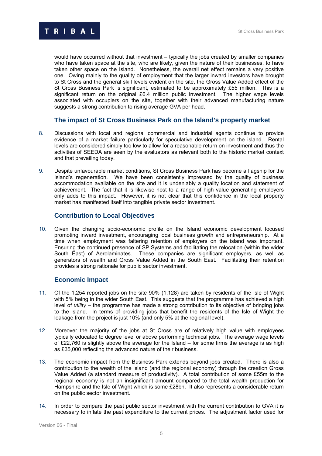

would have occurred without that investment – typically the jobs created by smaller companies who have taken space at the site, who are likely, given the nature of their businesses, to have taken other space on the Island. Nonetheless, the overall net effect remains a very positive one. Owing mainly to the quality of employment that the larger inward investors have brought to St Cross and the general skill levels evident on the site, the Gross Value Added effect of the St Cross Business Park is significant, estimated to be approximately £55 million. This is a significant return on the original £6.4 million public investment. The higher wage levels associated with occupiers on the site, together with their advanced manufacturing nature suggests a strong contribution to rising average GVA per head.

# **The impact of St Cross Business Park on the Island's property market**

- 8. Discussions with local and regional commercial and industrial agents continue to provide evidence of a market failure particularly for speculative development on the island. Rental levels are considered simply too low to allow for a reasonable return on investment and thus the activities of SEEDA are seen by the evaluators as relevant both to the historic market context and that prevailing today.
- 9. Despite unfavourable market conditions, St Cross Business Park has become a flagship for the Island's regeneration. We have been consistently impressed by the quality of business accommodation available on the site and it is undeniably a quality location and statement of achievement. The fact that it is likewise host to a range of high value generating employers only adds to this impact. However, it is not clear that this confidence in the local property market has manifested itself into tangible private sector investment.

# **Contribution to Local Objectives**

10. Given the changing socio-economic profile on the Island economic development focused promoting inward investment, encouraging local business growth and entrepreneurship. At a time when employment was faltering retention of employers on the island was important. Ensuring the continued presence of SP Systems and facilitating the relocation (within the wider South East) of Aerolaminates. These companies are significant employers, as well as generators of wealth and Gross Value Added in the South East. Facilitating their retention provides a strong rationale for public sector investment.

# **Economic Impact**

- 11. Of the 1,254 reported jobs on the site 90% (1,128) are taken by residents of the Isle of Wight with 5% being in the wider South East. This suggests that the programme has achieved a high level of *utility* – the programme has made a strong contribution to its objective of bringing jobs to the island. In terms of providing jobs that benefit the residents of the Isle of Wight the leakage from the project is just 10% (and only 5% at the regional level).
- 12. Moreover the majority of the jobs at St Cross are of relatively high value with employees typically educated to degree level or above performing technical jobs. The average wage levels of £22,760 is slightly above the average for the Island – for some firms the average is as high as £35,000 reflecting the advanced nature of their business.
- 13. The economic impact from the Business Park extends beyond jobs created. There is also a contribution to the wealth of the island (and the regional economy) through the creation Gross Value Added (a standard measure of productivity). A total contribution of some £55m to the regional economy is not an insignificant amount compared to the total wealth production for Hampshire and the Isle of Wight which is some £28bn. It also represents a considerable return on the public sector investment.
- 14. In order to compare the past public sector investment with the current contribution to GVA it is necessary to inflate the past expenditure to the current prices. The adjustment factor used for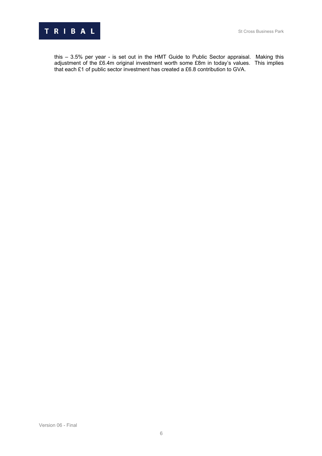

this – 3.5% per year - is set out in the HMT Guide to Public Sector appraisal. Making this adjustment of the £6.4m original investment worth some £8m in today's values. This implies that each £1 of public sector investment has created a £6.8 contribution to GVA.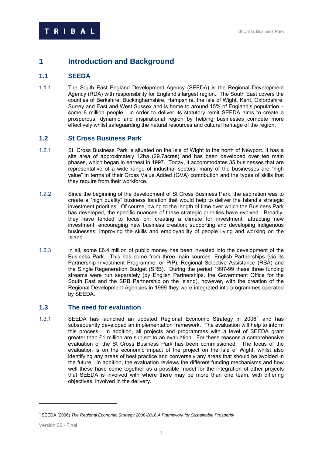# **1 1 Introduction and Background**

# **1.1** 9B**SEEDA**

1.1.1 The South East England Development Agency (SEEDA) is the Regional Development Agency (RDA) with responsibility for England's largest region. The South East covers the counties of Berkshire, Buckinghamshire, Hampshire, the Isle of Wight, Kent, Oxfordshire, Surrey and East and West Sussex and is home to around 15% of England's population – some 8 million people. In order to deliver its statutory remit SEEDA aims to create a prosperous, dynamic and inspirational region by helping businesses compete more effectively whilst safeguarding the natural resources and cultural heritage of the region.

# **1.2 St Cross Business Park**

- 1.2.1 St. Cross Business Park is situated on the Isle of Wight to the north of Newport. It has a site area of approximately 12ha (29.7acres) and has been developed over ten main phases, which began in earnest in 1997. Today, it accommodates 35 businesses that are representative of a wide range of industrial sectors- many of the businesses are "high value" in terms of their Gross Value Added (GVA) contribution and the types of skills that they require from their workforce.
- 1.2.2 Since the beginning of the development of St Cross Business Park, the aspiration was to create a "high quality" business location that would help to deliver the Island's strategic investment priorities. Of course, owing to the length of time over which the Business Park has developed, the specific nuances of these strategic priorities have evolved. Broadly, they have tended to focus on: creating a climate for investment; attracting new investment; encouraging new business creation; supporting and developing indigenous businesses; improving the skills and employability of people living and working on the Island.
- 1.2.3 In all, some £6.4 million of public money has been invested into the development of the Business Park. This has come from three main sources: English Partnerships (via its Partnership Investment Programme, or PIP), Regional Selective Assistance (RSA) and the Single Regeneration Budget (SRB). During the period 1997-99 these three funding streams were run separately (by English Partnerships, the Government Office for the South East and the SRB Partnership on the Island), however, with the creation of the Regional Development Agencies in 1999 they were integrated into programmes operated by SEEDA.

# **1.3 1.3 The need for evaluation**

1.3.1 SEEDA has launched an updated Regional Economic Strategy in 2006<sup>1</sup> and has subsequently developed an implementation framework. The evaluation will help to inform this process. In addition, all projects and programmes with a level of SEEDA grant greater than £1 million are subject to an evaluation. For these reasons a comprehensive evaluation of the St Cross Business Park has been commissioned. The focus of the evaluation is on the economic impact of the project on the Isle of Wight, whilst also identifying any areas of best practice and conversely any areas that should be avoided in the future. In addition, the evaluation reviews the different funding mechanisms and how well these have come together as a possible model for the integration of other projects that SEEDA is involved with where there may be more than one team, with differing objectives, involved in the delivery.

<sup>1</sup> SEEDA (2006) *The Regional Economic Strategy 2006-2016 A Framework for Sustainable Prosperity*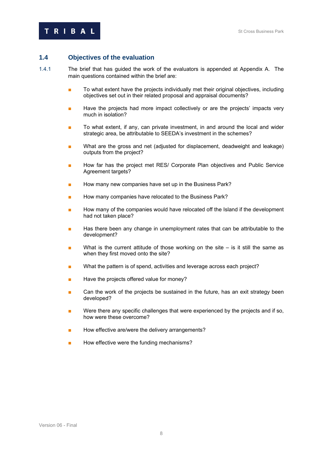# **1.4 Objectives of the evaluation**

- 1.4.1 The brief that has quided the work of the evaluators is appended at Appendix A. The main questions contained within the brief are:
	- To what extent have the projects individually met their original objectives, including objectives set out in their related proposal and appraisal documents?
	- Have the projects had more impact collectively or are the projects' impacts very much in isolation?
	- To what extent, if any, can private investment, in and around the local and wider strategic area, be attributable to SEEDA's investment in the schemes?
	- What are the gross and net (adjusted for displacement, deadweight and leakage) outputs from the project?
	- How far has the project met RES/ Corporate Plan objectives and Public Service Agreement targets?
	- How many new companies have set up in the Business Park?
	- How many companies have relocated to the Business Park?
	- How many of the companies would have relocated off the Island if the development had not taken place?
	- Has there been any change in unemployment rates that can be attributable to the development?
	- $\blacksquare$  What is the current attitude of those working on the site is it still the same as when they first moved onto the site?
	- What the pattern is of spend, activities and leverage across each project?
	- Have the projects offered value for money?
	- Can the work of the projects be sustained in the future, has an exit strategy been developed?
	- Were there any specific challenges that were experienced by the projects and if so, how were these overcome?
	- How effective are/were the delivery arrangements?
	- How effective were the funding mechanisms?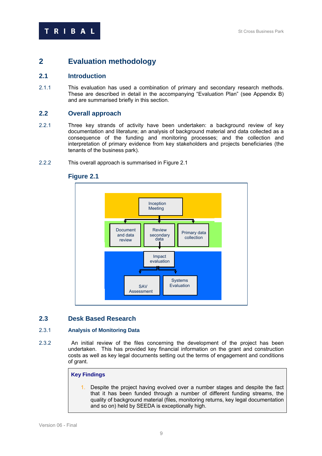# **2 1BEValuation methodology**

# **2.1 113BIntroduction**

2.1.1 This evaluation has used a combination of primary and secondary research methods. These are described in detail in the accompanying "Evaluation Plan" (see Appendix B) and are summarised briefly in this section.

# **2.2 Overall approach**

- 2.2.1 Three key strands of activity have been undertaken: a background review of key documentation and literature; an analysis of background material and data collected as a consequence of the funding and monitoring processes; and the collection and interpretation of primary evidence from key stakeholders and projects beneficiaries (the tenants of the business park).
- 2.2.2 This overall approach is summarised in Figure 2.1



# **Figure 2.1**

# **2.3 15Bbs** Desk Based Research

#### 2.3.1 **Analysis of Monitoring Data**

2.3.2 60B An initial review of the files concerning the development of the project has been undertaken. This has provided key financial information on the grant and construction costs as well as key legal documents setting out the terms of engagement and conditions of grant.

# **Key Findings**

1. Despite the project having evolved over a number stages and despite the fact that it has been funded through a number of different funding streams, the quality of background material (files, monitoring returns, key legal documentation and so on) held by SEEDA is exceptionally high.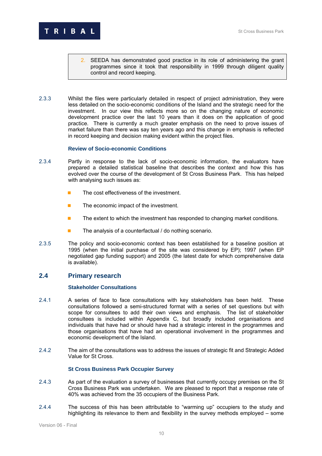

- 2. SEEDA has demonstrated good practice in its role of administering the grant programmes since it took that responsibility in 1999 through diligent quality control and record keeping.
- 2.3.3 618 618 618 61Bs were particularly detailed in respect of project administration, they were less detailed on the socio-economic conditions of the Island and the strategic need for the investment. In our view this reflects more so on the changing nature of economic development practice over the last 10 years than it does on the application of good practice. There is currently a much greater emphasis on the need to prove issues of market failure than there was say ten years ago and this change in emphasis is reflected in record keeping and decision making evident within the project files.

#### 62B**Review of Socio-economic Conditions**

- 2.3.4 **Example 1 Fartly in response to the lack of socio-economic information, the evaluators have** prepared a detailed statistical baseline that describes the context and how this has evolved over the course of the development of St Cross Business Park. This has helped with analysing such issues as:
	- $\blacksquare$  The cost effectiveness of the investment.
	- $\blacksquare$  The economic impact of the investment.
	- $\blacksquare$  The extent to which the investment has responded to changing market conditions.
	- $\blacksquare$  The analysis of a counterfactual / do nothing scenario.
- 2.3.5 The policy and socio-economic context has been established for a baseline position at 1995 (when the initial purchase of the site was considered by EP); 1997 (when EP negotiated gap funding support) and 2005 (the latest date for which comprehensive data is available).

# **2.4** Primary research

#### **Stakeholder Consultations**

- 2.4.1 69BA Series of face to face consultations with key stakeholders has been held. These consultations followed a semi-structured format with a series of set questions but with scope for consultees to add their own views and emphasis. The list of stakeholder consultees is included within Appendix C, but broadly included organisations and individuals that have had or should have had a strategic interest in the programmes and those organisations that have had an operational involvement in the programmes and economic development of the Island.
- 2.4.2 The aim of the consultations was to address the issues of strategic fit and Strategic Added Value for St Cross.

#### **St Cross Business Park Occupier Survey**

- 2.4.3 As part of the evaluation a survey of businesses that currently occupy premises on the St Cross Business Park was undertaken. We are pleased to report that a response rate of 40% was achieved from the 35 occupiers of the Business Park.
- 2.4.4 The success of this has been attributable to "warming up" occupiers to the study and highlighting its relevance to them and flexibility in the survey methods employed – some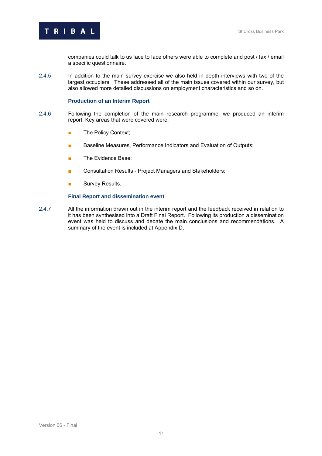companies could talk to us face to face others were able to complete and post / fax / email a specific questionnaire.

2.4.5 In addition to the main survey exercise we also held in depth interviews with two of the largest occupiers. These addressed all of the main issues covered within our survey, but also allowed more detailed discussions on employment characteristics and so on.

#### **Production of an Interim Report**

- 2.4.6 Following the completion of the main research programme, we produced an interim report. Key areas that were covered were:
	- The Policy Context;
	- Baseline Measures, Performance Indicators and Evaluation of Outputs;
	- The Evidence Base:
	- Consultation Results Project Managers and Stakeholders:
	- Survey Results.

#### **Final Report and dissemination event**

2.4.7 All the information drawn out in the interim report and the feedback received in relation to it has been synthesised into a Draft Final Report. Following its production a dissemination event was held to discuss and debate the main conclusions and recommendations. A summary of the event is included at Appendix D.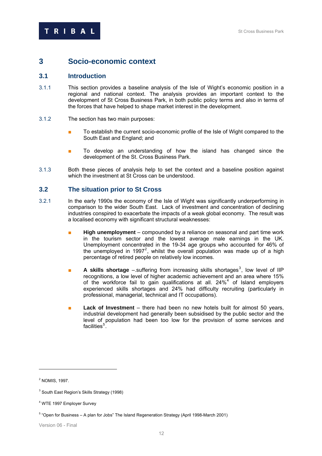# **3** 2B**Socio-economic context**

## **3.1 Introduction**

- 3.1.1 This section provides a baseline analysis of the Isle of Wight's economic position in a regional and national context. The analysis provides an important context to the development of St Cross Business Park, in both public policy terms and also in terms of the forces that have helped to shape market interest in the development.
- 3.1.2 The section has two main purposes:
	- To establish the current socio-economic profile of the Isle of Wight compared to the South East and England; and
	- To develop an understanding of how the island has changed since the development of the St. Cross Business Park.
- 3.1.3 Both these pieces of analysis help to set the context and a baseline position against which the investment at St Cross can be understood.

#### **3.2 18BThe situation prior to St Cross**

- 3.2.1 In the early 1990s the economy of the Isle of Wight was significantly underperforming in comparison to the wider South East. Lack of investment and concentration of declining industries conspired to exacerbate the impacts of a weak global economy. The result was a localised economy with significant structural weaknesses:
	- **High unemployment** compounded by a reliance on seasonal and part time work in the tourism sector and the lowest average male earnings in the UK. Unemployment concentrated in the 19-34 age groups who accounted for 46% of the unemployed in 1997<sup>2</sup>, whilst the overall population was made up of a high percentage of retired people on relatively low incomes.
	- **A skills shortage** suffering from increasing skills shortages<sup>3</sup>, low level of IIP recognitions, a low level of higher academic achievement and an area where 15% of the workforce fail to gain qualifications at all.  $24\%$ <sup>4</sup> of Island employers experienced skills shortages and 24% had difficulty recruiting (particularly in professional, managerial, technical and IT occupations).
	- **Lack of Investment** there had been no new hotels built for almost 50 years, industrial development had generally been subsidised by the public sector and the level of population had been too low for the provision of some services and facilities $^5$ F.

2 NOMIS, 1997.

<sup>&</sup>lt;sup>3</sup> South East Region's Skills Strategy (1998)

<sup>4</sup> WTE 1997 Employer Survey

<sup>&</sup>lt;sup>5</sup> "Open for Business - A plan for Jobs" The Island Regeneration Strategy (April 1998-March 2001)

Version 06 - Final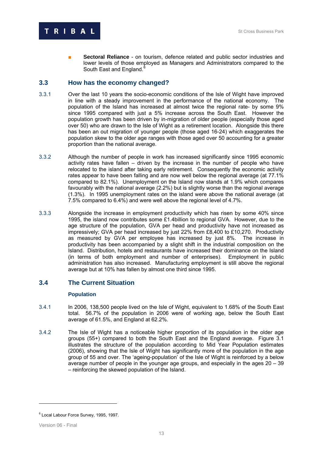

**Sectoral Reliance** - on tourism, defence related and public sector industries and lower levels of those employed as Managers and Administrators compared to the South East and England.<sup>6</sup>

# **3.3 How has the economy changed?**

- 3.3.1 Over the last 10 years the socio-economic conditions of the Isle of Wight have improved in line with a steady improvement in the performance of the national economy. The population of the Island has increased at almost twice the regional rate- by some 9% since 1995 compared with just a 5% increase across the South East. However the population growth has been driven by in-migration of older people (especially those aged over 50) who are drawn to the Isle of Wight as a retirement location. Alongside this there has been an out migration of younger people (those aged 16-24) which exaggerates the population skew to the older age ranges with those aged over 50 accounting for a greater proportion than the national average.
- 3.3.2 Although the number of people in work has increased significantly since 1995 economic activity rates have fallen – driven by the increase in the number of people who have relocated to the island after taking early retirement. Consequently the economic activity rates appear to have been falling and are now well below the regional average (at 77.1% compared to 82.1%). Unemployment on the Island now stands at 1.9% which compares favourably with the national average (2.2%) but is slightly worse than the regional average (1.3%). In 1995 unemployment rates on the island were above the national average (at 7.5% compared to 6.4%) and were well above the regional level of 4.7%.
- 3.3.3 Alongside the increase in employment productivity which has risen by some 40% since 1995, the island now contributes some £1.4billion to regional GVA. However, due to the age structure of the population, GVA per head and productivity have not increased as impressively; GVA per head increased by just 22% from £8,400 to £10,270. Productivity as measured by GVA per employee has increased by just 8%. The increase in productivity has been accompanied by a slight shift in the industrial composition on the Island. Distribution, hotels and restaurants have increased their dominance on the Island (in terms of both employment and number of enterprises). Employment in public administration has also increased. Manufacturing employment is still above the regional average but at 10% has fallen by almost one third since 1995.

# **3.4 The Current Situation**

#### **Population**

- 3.4.1 In 2006, 138,500 people lived on the Isle of Wight, equivalent to 1.68% of the South East total. 56.7% of the population in 2006 were of working age, below the South East average of 61.5%, and England at 62.2%.
- 3.4.2 The Isle of Wight has a noticeable higher proportion of its population in the older age groups (55+) compared to both the South East and the England average. Figure 3.1 illustrates the structure of the population according to Mid Year Population estimates (2006), showing that the Isle of Wight has significantly more of the population in the age group of 55 and over. The 'ageing-population' of the Isle of Wight is reinforced by a below average number of people in the younger age groups, and especially in the ages 20 – 39 – reinforcing the skewed population of the Island.

<sup>&</sup>lt;sup>6</sup> Local Labour Force Survey, 1995, 1997.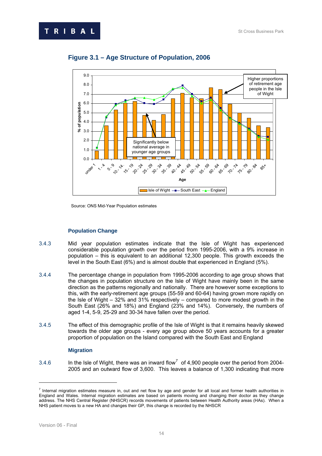



# **Figure 3.1 – Age Structure of Population, 2006**

Source: ONS Mid-Year Population estimates

#### **Population Change**

- 3.4.3 Mid year population estimates indicate that the Isle of Wight has experienced considerable population growth over the period from 1995-2006, with a 9% increase in population – this is equivalent to an additional 12,300 people. This growth exceeds the level in the South East (6%) and is almost double that experienced in England (5%).
- 3.4.4 The percentage change in population from 1995-2006 according to age group shows that the changes in population structure on the Isle of Wight have mainly been in the same direction as the patterns regionally and nationally. There are however some exceptions to this, with the early-retirement age groups (55-59 and 60-64) having grown more rapidly on the Isle of Wight – 32% and 31% respectively – compared to more modest growth in the South East (26% and 18%) and England (23% and 14%). Conversely, the numbers of aged 1-4, 5-9, 25-29 and 30-34 have fallen over the period.
- 3.4.5 The effect of this demographic profile of the Isle of Wight is that it remains heavily skewed towards the older age groups - every age group above 50 years accounts for a greater proportion of population on the Island compared with the South East and England

#### **Migration**

3.4.6 In the Isle of Wight, there was an inward flow<sup>7</sup> of 4,900 people over the period from 2004-2005 and an outward flow of 3,600. This leaves a balance of 1,300 indicating that more

 $<sup>7</sup>$  Internal migration estimates measure in, out and net flow by age and gender for all local and former health authorities in</sup> England and Wales. Internal migration estimates are based on patients moving and changing their doctor as they change address. The NHS Central Register (NHSCR) records movements of patients between Health Authority areas (HAs). When a NHS patient moves to a new HA and changes their GP, this change is recorded by the NHSCR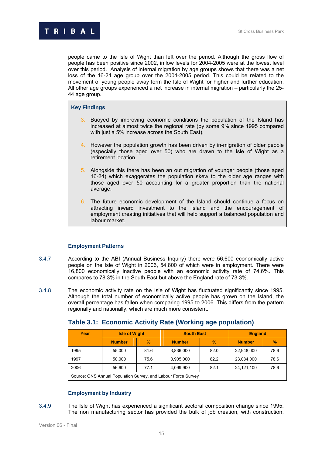people came to the Isle of Wight than left over the period. Although the gross flow of people has been positive since 2002, inflow levels for 2004-2005 were at the lowest level over this period. Analysis of internal migration by age groups shows that there was a net loss of the 16-24 age group over the 2004-2005 period. This could be related to the movement of young people away form the Isle of Wight for higher and further education. All other age groups experienced a net increase in internal migration – particularly the 25- 44 age group.

#### **Key Findings**

- 3. Buoyed by improving economic conditions the population of the Island has increased at almost twice the regional rate (by some 9% since 1995 compared with just a 5% increase across the South East).
- 4. However the population growth has been driven by in-migration of older people (especially those aged over 50) who are drawn to the Isle of Wight as a retirement location.
- 5. Alongside this there has been an out migration of younger people (those aged 16-24) which exaggerates the population skew to the older age ranges with those aged over 50 accounting for a greater proportion than the national average.
- 6. The future economic development of the Island should continue a focus on attracting inward investment to the Island and the encouragement of employment creating initiatives that will help support a balanced population and labour market.

# **Employment Patterns**

- 3.4.7 According to the ABI (Annual Business Inquiry) there were 56,600 economically active people on the Isle of Wight in 2006, 54,800 of which were in employment. There were 16,800 economically inactive people with an economic activity rate of 74.6%. This compares to 78.3% in the South East but above the England rate of 73.3%.
- 3.4.8 The economic activity rate on the Isle of Wight has fluctuated significantly since 1995. Although the total number of economically active people has grown on the Island, the overall percentage has fallen when comparing 1995 to 2006. This differs from the pattern regionally and nationally, which are much more consistent.

| Year                                                         | <b>Isle of Wight</b> |               | <b>South East</b> |      | <b>England</b> |               |  |
|--------------------------------------------------------------|----------------------|---------------|-------------------|------|----------------|---------------|--|
|                                                              | <b>Number</b>        | $\frac{9}{6}$ | <b>Number</b>     | $\%$ | <b>Number</b>  | $\frac{9}{6}$ |  |
| 1995                                                         | 55.000               | 81.6          | 3,836,000         | 82.0 | 22,948,000     | 78.6          |  |
| 1997                                                         | 50,000               | 75.6          | 3,905,000         | 82.2 | 23,084,000     | 78.6          |  |
| 2006                                                         | 56.600               | 77.1          | 4,099,900         | 82.1 | 24,121,100     | 78.6          |  |
| Source: ONS Annual Population Survey and Labour Force Survey |                      |               |                   |      |                |               |  |

# **Table 3.1: Economic Activity Rate (Working age population)**

Source: ONS Annual Population Survey, and Labour Force Survey

# **Employment by Industry**

3.4.9 The Isle of Wight has experienced a significant sectoral composition change since 1995. The non manufacturing sector has provided the bulk of job creation, with construction,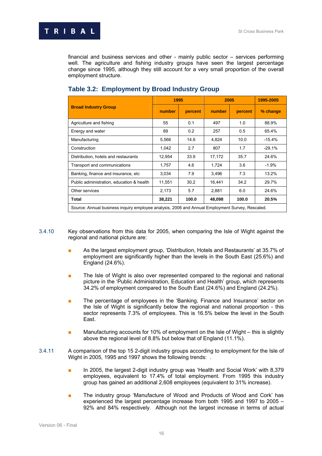

financial and business services and other - mainly public sector – services performing well. The agriculture and fishing industry groups have seen the largest percentage change since 1995, although they still account for a very small proportion of the overall employment structure.

|                                                                                                 | 1995   |         | 2005   |         | 1995-2005 |  |  |
|-------------------------------------------------------------------------------------------------|--------|---------|--------|---------|-----------|--|--|
| <b>Broad Industry Group</b>                                                                     | number | percent | number | percent | % change  |  |  |
| Agriculture and fishing                                                                         | 55     | 0.1     | 497    | 1.0     | 88.9%     |  |  |
| Energy and water                                                                                | 89     | 0.2     | 257    | 0.5     | 65.4%     |  |  |
| Manufacturing                                                                                   | 5,566  | 14.6    | 4,824  | 10.0    | $-15.4%$  |  |  |
| Construction                                                                                    | 1,042  | 2.7     | 807    | 1.7     | $-29.1%$  |  |  |
| Distribution, hotels and restaurants                                                            | 12,954 | 33.9    | 17,172 | 35.7    | 24.6%     |  |  |
| Transport and communications                                                                    | 1,757  | 4.6     | 1,724  | 3.6     | $-1.9%$   |  |  |
| Banking, finance and insurance, etc.                                                            | 3.034  | 7.9     | 3,496  | 7.3     | 13.2%     |  |  |
| Public administration, education & health                                                       | 11,551 | 30.2    | 16,441 | 34.2    | 29.7%     |  |  |
| Other services                                                                                  | 2,173  | 5.7     | 2,881  | 6.0     | 24.6%     |  |  |
| Total                                                                                           | 38,221 | 100.0   | 48,098 | 100.0   | 20.5%     |  |  |
| Source: Annual business inquiry employee analysis, 2006 and Annual Employment Survey, Rescaled. |        |         |        |         |           |  |  |

# **Table 3.2: Employment by Broad Industry Group**

- 3.4.10 Key observations from this data for 2005, when comparing the Isle of Wight against the regional and national picture are:
	- As the largest employment group, 'Distribution, Hotels and Restaurants' at 35.7% of employment are significantly higher than the levels in the South East (25.6%) and England (24.6%).
	- The Isle of Wight is also over represented compared to the regional and national picture in the 'Public Administration, Education and Health' group, which represents 34.2% of employment compared to the South East (24.6%) and England (24.2%).
	- The percentage of employees in the 'Banking, Finance and Insurance' sector on the Isle of Wight is significantly below the regional and national proportion - this sector represents 7.3% of employees. This is 16.5% below the level in the South East.
	- Manufacturing accounts for 10% of employment on the Isle of Wight this is slightly above the regional level of 8.8% but below that of England (11.1%).
- 3.4.11 A comparison of the top 15 2-digit industry groups according to employment for the Isle of Wight in 2005, 1995 and 1997 shows the following trends: .
	- In 2005, the largest 2-digit industry group was 'Health and Social Work' with 8,379 employees, equivalent to 17.4% of total employment. From 1995 this industry group has gained an additional 2,608 employees (equivalent to 31% increase).
	- The industry group 'Manufacture of Wood and Products of Wood and Cork' has experienced the largest percentage increase from both 1995 and 1997 to 2005 – 92% and 84% respectively. Although not the largest increase in terms of actual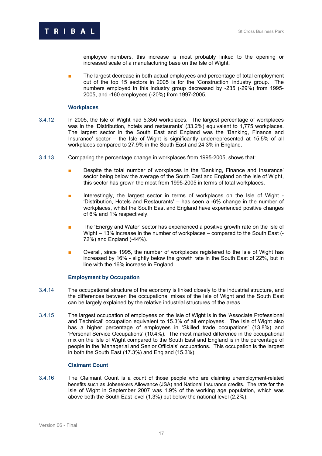

employee numbers, this increase is most probably linked to the opening or increased scale of a manufacturing base on the Isle of Wight.

The largest decrease in both actual employees and percentage of total employment out of the top 15 sectors in 2005 is for the 'Construction' industry group. The numbers employed in this industry group decreased by -235 (-29%) from 1995- 2005, and -160 employees (-20%) from 1997-2005.

#### **Workplaces**

- 3.4.12 In 2005, the Isle of Wight had 5,350 workplaces. The largest percentage of workplaces was in the 'Distribution, hotels and restaurants' (33.2%) equivalent to 1,775 workplaces. The largest sector in the South East and England was the 'Banking, Finance and Insurance' sector – the Isle of Wight is significantly underrepresented at 15.5% of all workplaces compared to 27.9% in the South East and 24.3% in England.
- 3.4.13 Comparing the percentage change in workplaces from 1995-2005, shows that:
	- Despite the total number of workplaces in the 'Banking, Finance and Insurance' sector being below the average of the South East and England on the Isle of Wight, this sector has grown the most from 1995-2005 in terms of total workplaces.
	- Interestingly, the largest sector in terms of workplaces on the Isle of Wight -'Distribution, Hotels and Restaurants' – has seen a -6% change in the number of workplaces, whilst the South East and England have experienced positive changes of 6% and 1% respectively.
	- The 'Energy and Water' sector has experienced a positive growth rate on the Isle of Wight – 13% increase in the number of workplaces – compared to the South East (- 72%) and England (-44%).
	- Overall, since 1995, the number of workplaces registered to the Isle of Wight has increased by 16% - slightly below the growth rate in the South East of 22%, but in line with the 16% increase in England.

#### **Employment by Occupation**

- 3.4.14 The occupational structure of the economy is linked closely to the industrial structure, and the differences between the occupational mixes of the Isle of Wight and the South East can be largely explained by the relative industrial structures of the areas.
- 3.4.15 The largest occupation of employees on the Isle of Wight is in the 'Associate Professional and Technical' occupation equivalent to 15.3% of all employees. The Isle of Wight also has a higher percentage of employees in 'Skilled trade occupations' (13.8%) and 'Personal Service Occupations' (10.4%). The most marked difference in the occupational mix on the Isle of Wight compared to the South East and England is in the percentage of people in the 'Managerial and Senior Officials' occupations. This occupation is the largest in both the South East (17.3%) and England (15.3%).

#### **Claimant Count**

3.4.16 1BThe Claimant Count is a count of those people who are claiming unemployment-related benefits such as Jobseekers Allowance (JSA) and National Insurance credits. The rate for the Isle of Wight in September 2007 was 1.9% of the working age population, which was above both the South East level (1.3%) but below the national level (2.2%).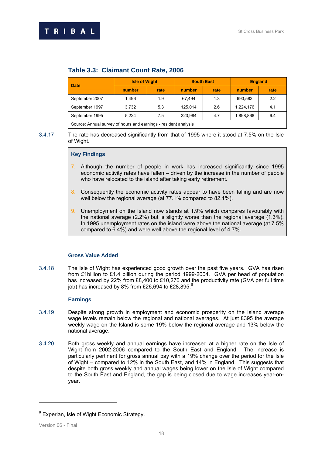| number | rate |         |                                                                       |           |      |
|--------|------|---------|-----------------------------------------------------------------------|-----------|------|
|        |      | number  | rate                                                                  | number    | rate |
| 1.496  | 1.9  | 67.494  | 1.3                                                                   | 693,583   | 2.2  |
| 3.732  | 5.3  | 125.014 | 2.6                                                                   | 1,224,176 | 4.1  |
| 5.224  | 7.5  | 223.984 | 4.7                                                                   | 1,898,868 | 6.4  |
|        |      |         | Course Assemblation in the beams and assemblance as identified in the |           |      |

# **Table 3.3: Claimant Count Rate, 2006**

Source: Annual survey of hours and earnings - resident analysis

3.4.17 The rate has decreased significantly from that of 1995 where it stood at 7.5% on the Isle of Wight.

#### **Key Findings**

- 7. Although the number of people in work has increased significantly since 1995 economic activity rates have fallen – driven by the increase in the number of people who have relocated to the island after taking early retirement.
- 8. Consequently the economic activity rates appear to have been falling and are now well below the regional average (at 77.1% compared to 82.1%).
- 9. Unemployment on the Island now stands at 1.9% which compares favourably with the national average (2.2%) but is slightly worse than the regional average (1.3%). In 1995 unemployment rates on the island were above the national average (at 7.5% compared to 6.4%) and were well above the regional level of 4.7%.

#### **Gross Value Added**

3.4.18 The Isle of Wight has experienced good growth over the past five years. GVA has risen from £1billion to £1.4 billion during the period 1999-2004. GVA per head of population has increased by 22% from £8,400 to £10,270 and the productivity rate (GVA per full time job) has increased by 8% from £26,694 to £28,895. $^8$ 

#### **Earnings**

- 3.4.19 14BD Despite strong growth in employment and economic prosperity on the Island average wage levels remain below the regional and national averages. At just £395 the average weekly wage on the Island is some 19% below the regional average and 13% below the national average.
- 3.4.20 Both gross weekly and annual earnings have increased at a higher rate on the Isle of Wight from 2002-2006 compared to the South East and England. The increase is particularly pertinent for gross annual pay with a 19% change over the period for the Isle of Wight – compared to 12% in the South East, and 14% in England. This suggests that despite both gross weekly and annual wages being lower on the Isle of Wight compared to the South East and England, the gap is being closed due to wage increases year-onyear.

<sup>&</sup>lt;sup>8</sup> Experian, Isle of Wight Economic Strategy.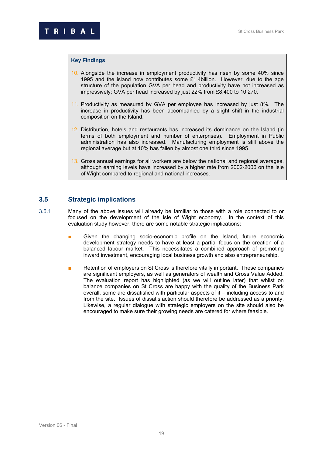#### **Key Findings**

- 10. Alongside the increase in employment productivity has risen by some 40% since 1995 and the island now contributes some £1.4billion. However, due to the age structure of the population GVA per head and productivity have not increased as impressively; GVA per head increased by just 22% from £8,400 to 10,270.
- 11. Productivity as measured by GVA per employee has increased by just 8%. The increase in productivity has been accompanied by a slight shift in the industrial composition on the Island.
- 12. Distribution, hotels and restaurants has increased its dominance on the Island (in terms of both employment and number of enterprises). Employment in Public administration has also increased. Manufacturing employment is still above the regional average but at 10% has fallen by almost one third since 1995.
- 13. Gross annual earnings for all workers are below the national and regional averages, although earning levels have increased by a higher rate from 2002-2006 on the Isle of Wight compared to regional and national increases.

# **3.5 21Strategic implications**

- $3.5.1$  Many of the above issues will already be familiar to those with a role connected to or focused on the development of the Isle of Wight economy. In the context of this evaluation study however, there are some notable strategic implications:
	- Given the changing socio-economic profile on the Island, future economic development strategy needs to have at least a partial focus on the creation of a balanced labour market. This necessitates a combined approach of promoting inward investment, encouraging local business growth and also entrepreneurship.
	- Retention of employers on St Cross is therefore vitally important. These companies are significant employers, as well as generators of wealth and Gross Value Added. The evaluation report has highlighted (as we will outline later) that whilst on balance companies on St Cross are happy with the quality of the Business Park overall, some are dissatisfied with particular aspects of it – including access to and from the site. Issues of dissatisfaction should therefore be addressed as a priority. Likewise, a regular dialogue with strategic employers on the site should also be encouraged to make sure their growing needs are catered for where feasible.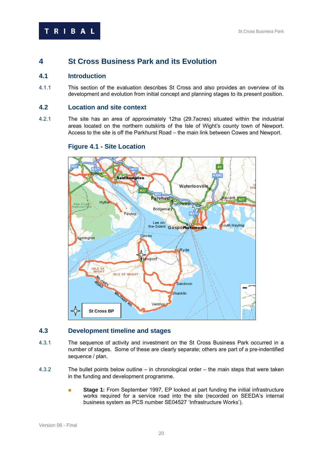# **4** 3B**St Cross Business Park and its Evolution**

# **4.1 Introduction**

4.1.1 This section of the evaluation describes St Cross and also provides an overview of its development and evolution from initial concept and planning stages to its present position.

# **4.2** 23B**Location and site context**

4.2.1 The site has an area of approximately 12ha (29.7acres) situated within the industrial areas located on the northern outskirts of the Isle of Wight's county town of Newport. Access to the site is off the Parkhurst Road – the main link between Cowes and Newport.

# Tribon Southampton Waterlooville ĸ Rareham Havant A27 **Hythe** ortchest Bridgeman Fawley Lee on-South Hayling Cowes Lymington Ryde Newport **ISLE OF**<br>WIGHT **ISLE OF WIGHT TARY** Sandown **St Cross BP** Shanklin Ventrio

# **Figure 4.1 - Site Location**

# **4.3** 24B**Development timeline and stages**

- 4.3.1 The sequence of activity and investment on the St Cross Business Park occurred in a number of stages. Some of these are clearly separate; others are part of a pre-indentified sequence / plan.
- 4.3.2 The bullet points below outline in chronological order the main steps that were taken in the funding and development programme.
	- Stage 1: From September 1997, EP looked at part funding the initial infrastructure works required for a service road into the site (recorded on SEEDA's internal business system as PCS number SE04527 'Infrastructure Works').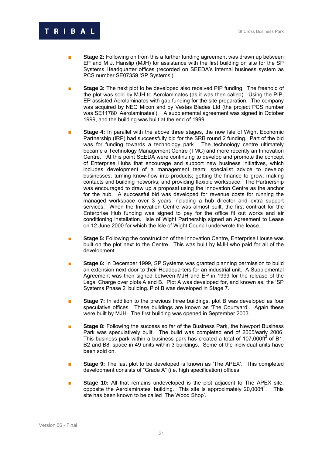# **RIBAL**

- **Stage 2:** Following on from this a further funding agreement was drawn up between EP and M J. Hanslip (MJH) for assistance with the first building on site for the SP Systems Headquarter offices (recorded on SEEDA's internal business system as PCS number SE07359 'SP Systems').
- **Stage 3:** The next plot to be developed also received PIP funding. The freehold of the plot was sold by MJH to Aerolaminates (as it was then called). Using the PIP, EP assisted Aerolaminates with gap funding for the site preparation. The company was acquired by NEG Micon and by Vestas Blades Ltd (the project PCS number was SE11780 'Aerolaminates'). A supplemental agreement was signed in October 1999, and the building was built at the end of 1999.
- **Stage 4:** In parallel with the above three stages, the now Isle of Wight Economic Partnership (IRP) had successfully bid for the SRB round 2 funding. Part of the bid was for funding towards a technology park. The technology centre ultimately became a Technology Management Centre (TMC) and more recently an Innovation Centre. At this point SEEDA were continuing to develop and promote the concept of Enterprise Hubs that encourage and support new business initiatives, which includes development of a management team; specialist advice to develop businesses; turning know-how into products; getting the finance to grow; making contacts and building networks; and providing flexible workspace. The Partnership was encouraged to draw up a proposal using the Innovation Centre as the anchor for the hub. A successful bid was developed for revenue costs for running the managed workspace over 3 years including a hub director and extra support services. When the Innovation Centre was almost built, the first contract for the Enterprise Hub funding was signed to pay for the office fit out works and air conditioning installation. Isle of Wight Partnership signed an Agreement to Lease on 12 June 2000 for which the Isle of Wight Council underwrote the lease.
- **Stage 5:** Following the construction of the Innovation Centre, Enterprise House was built on the plot next to the Centre. This was built by MJH who paid for all of the development.
- **Stage 6:** In December 1999, SP Systems was granted planning permission to build an extension next door to their Headquarters for an industrial unit. A Supplemental Agreement was then signed between MJH and EP in 1999 for the release of the Legal Charge over plots A and B. Plot A was developed for, and known as, the 'SP Systems Phase 2' building. Plot B was developed in Stage 7.
- **Branch Stage 7:** In addition to the previous three buildings, plot B was developed as four speculative offices. These buildings are known as 'The Courtyard'. Again these were built by MJH. The first building was opened in September 2003.
- **Stage 8:** Following the success so far of the Business Park, the Newport Business Park was speculatively built. The build was completed end of 2005/early 2006. This business park within a business park has created a total of 107,000ft<sup>2</sup> of B1, B2 and B8, space in 49 units within 3 buildings. Some of the individual units have been sold on.
- **Stage 9:** The last plot to be developed is known as 'The APEX'. This completed development consists of "Grade A" (i.e. high specification) offices.
- **Stage 10:** All that remains undeveloped is the plot adjacent to The APEX site, opposite the Aerolaminates' building. This site is approximately 20,000ft<sup>2</sup>. This site has been known to be called 'The Wood Shop'.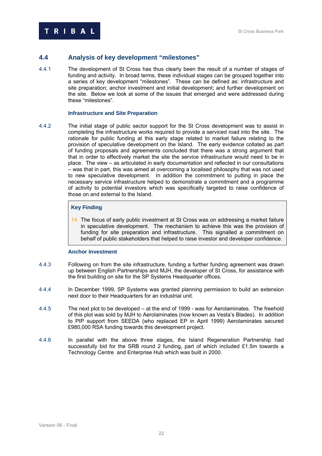# **4.4** 25B**Analysis of key development "milestones"**

4.4.1 The development of St Cross has thus clearly been the result of a number of stages of funding and activity. In broad terms, these individual stages can be grouped together into a series of key development "milestones". These can be defined as: infrastructure and site preparation; anchor investment and initial development; and further development on the site. Below we look at some of the issues that emerged and were addressed during these "milestones".

#### **Infrastructure and Site Preparation**

4.4.2 The initial stage of public sector support for the St Cross development was to assist in completing the infrastructure works required to provide a serviced road into the site. The rationale for public funding at this early stage related to market failure relating to the provision of speculative development on the Island. The early evidence collated as part of funding proposals and agreements concluded that there was a strong argument that that in order to effectively market the site the service infrastructure would need to be in place. The view – as articulated in early documentation and reflected in our consultations – was that in part, this was aimed at overcoming a localised philosophy that was not used to new speculative development. In addition the commitment to putting in place the necessary service infrastructure helped to demonstrate a commitment and a programme of activity to potential investors which was specifically targeted to raise confidence of those on and external to the Island.

# **Key Finding**

14. The focus of early public investment at St Cross was on addressing a market failure in speculative development. The mechanism to achieve this was the provision of funding for site preparation and infrastructure. This signalled a commitment on behalf of public stakeholders that helped to raise investor and developer confidence.

#### **Anchor Investment**

- 4.4.3 Following on from the site infrastructure, funding a further funding agreement was drawn up between English Partnerships and MJH, the developer of St Cross, for assistance with the first building on site for the SP Systems Headquarter offices.
- 4.4.4 In December 1999, SP Systems was granted planning permission to build an extension next door to their Headquarters for an industrial unit.
- 4.4.5 The next plot to be developed at the end of 1999 was for Aerolaminates. The freehold of this plot was sold by MJH to Aerolaminates (now known as Vesta's Blades). In addition to PIP support from SEEDA (who replaced EP in April 1999) Aerolaminates secured £980,000 RSA funding towards this development project.
- 4.4.6 1 In parallel with the above three stages, the Island Regeneration Partnership had successfully bid for the SRB round 2 funding, part of which included £1.5m towards a Technology Centre and Enterprise Hub which was built in 2000.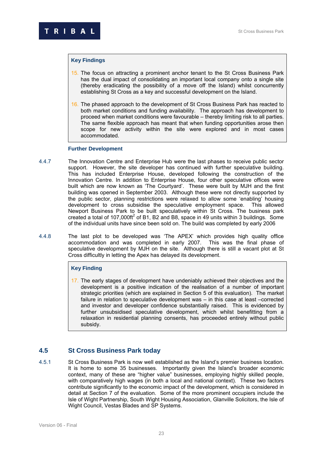#### **Key Findings**

- 15. The focus on attracting a prominent anchor tenant to the St Cross Business Park has the dual impact of consolidating an important local company onto a single site (thereby eradicating the possibility of a move off the Island) whilst concurrently establishing St Cross as a key and successful development on the Island.
- 16. The phased approach to the development of St Cross Business Park has reacted to both market conditions and funding availability. The approach has development to proceed when market conditions were favourable – thereby limiting risk to all parties. The same flexible approach has meant that when funding opportunities arose then scope for new activity within the site were explored and in most cases accommodated.

#### **Further Development**

- 4.4.7 The Innovation Centre and Enterprise Hub were the last phases to receive public sector support. However, the site developer has continued with further speculative building. This has included Enterprise House, developed following the construction of the Innovation Centre. In addition to Enterprise House, four other speculative offices were built which are now known as 'The Courtyard'. These were built by MJH and the first building was opened in September 2003. Although these were not directly supported by the public sector, planning restrictions were relaxed to allow some 'enabling' housing development to cross subsidise the speculative employment space. This allowed Newport Business Park to be built speculatively within St Cross. The business park created a total of 107,000ft<sup>2</sup> of B1, B2 and B8, space in 49 units within 3 buildings. Some of the individual units have since been sold on. The build was completed by early 2006
- 4.4.8 128BThe last plot to be developed was 'The APEX' which provides high quality office accommodation and was completed in early 2007. This was the final phase of speculative development by MJH on the site. Although there is still a vacant plot at St Cross difficultly in letting the Apex has delayed its development.

#### **Key Finding**

17. The early stages of development have undeniably achieved their objectives and the development is a positive indication of the realisation of a number of important strategic priorities (which are explained in Section 5 of this evaluation). The market failure in relation to speculative development was – in this case at least –corrected and investor and developer confidence substantially raised. This is evidenced by further unsubsidised speculative development, which whilst benefitting from a relaxation in residential planning consents, has proceeded entirely without public subsidy.

# **4.5 26 St Cross Business Park today**

4.5.1 St Cross Business Park is now well established as the Island's premier business location. It is home to some 35 businesses. Importantly given the Island's broader economic context, many of these are "higher value" businesses, employing highly skilled people, with comparatively high wages (in both a local and national context). These two factors contribute significantly to the economic impact of the development, which is considered in detail at Section 7 of the evaluation. Some of the more prominent occupiers include the Isle of Wight Partnership, South Wight Housing Association, Glanville Solicitors, the Isle of Wight Council, Vestas Blades and SP Systems.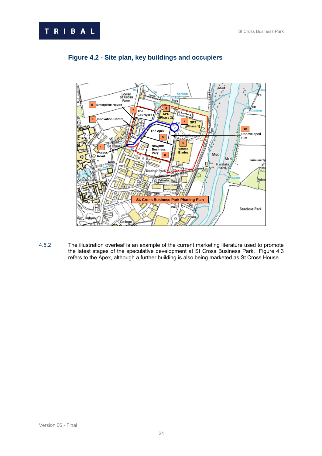



# **Figure 4.2 - Site plan, key buildings and occupiers**

4.5.2 The illustration overleaf is an example of the current marketing literature used to promote the latest stages of the speculative development at St Cross Business Park. Figure 4.3 refers to the Apex, although a further building is also being marketed as St Cross House.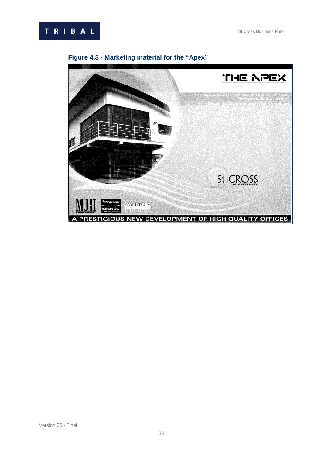



# **Figure 4.3 - Marketing material for the "Apex"**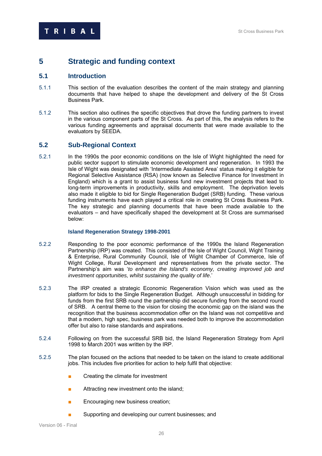# **5 5** Strategic and funding context

# **5.1 Introduction**

- 5.1.1 This section of the evaluation describes the content of the main strategy and planning documents that have helped to shape the development and delivery of the St Cross Business Park.
- 5.1.2 This section also outlines the specific objectives that drove the funding partners to invest in the various component parts of the St Cross. As part of this, the analysis refers to the various funding agreements and appraisal documents that were made available to the evaluators by SEEDA.

#### **5.2 Sub-Regional Context**

5.2.1 In the 1990s the poor economic conditions on the Isle of Wight highlighted the need for public sector support to stimulate economic development and regeneration. In 1993 the Isle of Wight was designated with 'Intermediate Assisted Area' status making it eligible for Regional Selective Assistance (RSA) (now known as Selective Finance for Investment in England) which is a grant to assist business fund new investment projects that lead to long-term improvements in productivity, skills and employment. The deprivation levels also made it eligible to bid for Single Regeneration Budget (SRB) funding. These various funding instruments have each played a critical role in creating St Cross Business Park. The key strategic and planning documents that have been made available to the evaluators – and have specifically shaped the development at St Cross are summarised below:

#### **Island Regeneration Strategy 1998-2001**

- 5.2.2 134BResponding to the poor economic performance of the 1990s the Island Regeneration Partnership (IRP) was created. This consisted of the Isle of Wight Council, Wight Training & Enterprise, Rural Community Council, Isle of Wight Chamber of Commerce, Isle of Wight College, Rural Development and representatives from the private sector. The Partnership's aim was '*to enhance the Island's economy, creating improved job and investment opportunities, whilst sustaining the quality of life*.'
- 5.2.3 135BThe IRP created a strategic Economic Regeneration Vision which was used as the platform for bids to the Single Regeneration Budget. Although unsuccessful in bidding for funds from the first SRB round the partnership did secure funding from the second round of SRB. A central theme to the vision for closing the economic gap on the island was the recognition that the business accommodation offer on the Island was not competitive and that a modern, high spec, business park was needed both to improve the accommodation offer but also to raise standards and aspirations.
- 5.2.4 **136BFollowing on from the successful SRB bid, the Island Regeneration Strategy from April** 1998 to March 2001 was written by the IRP.
- 5.2.5 The plan focused on the actions that needed to be taken on the island to create additional jobs. This includes five priorities for action to help fulfil that objective:
	- Creating the climate for investment
	- Attracting new investment onto the island;
	- Encouraging new business creation;
	- Supporting and developing our current businesses; and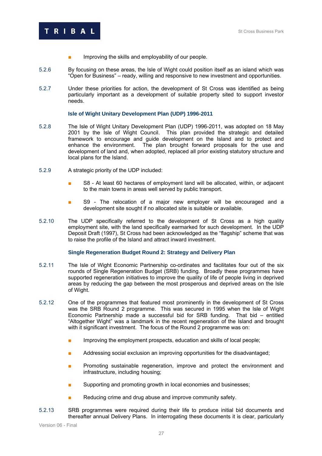

- Improving the skills and employability of our people.
- 5.2.6 138By focusing on these areas, the Isle of Wight could position itself as an island which was "Open for Business" – ready, willing and responsive to new investment and opportunities.
- 5.2.7 Under these priorities for action, the development of St Cross was identified as being particularly important as a development of suitable property sited to support investor needs.

#### **Isle of Wight Unitary Development Plan (UDP) 1996-2011**

- 5.2.8 The Isle of Wight Unitary Development Plan (UDP) 1996-2011, was adopted on 18 May 2001 by the Isle of Wight Council. This plan provided the strategic and detailed framework to encourage and guide development on the Island and to protect and enhance the environment. The plan brought forward proposals for the use and development of land and, when adopted, replaced all prior existing statutory structure and local plans for the Island.
- 5.2.9 A strategic priority of the UDP included:
	- S8 At least 60 hectares of employment land will be allocated, within, or adiacent to the main towns in areas well served by public transport.
	- S9 The relocation of a major new employer will be encouraged and a development site sought if no allocated site is suitable or available.
- 5.2.10 The UDP specifically referred to the development of St Cross as a high quality employment site, with the land specifically earmarked for such development. In the UDP Deposit Draft (1997), St Cross had been acknowledged as the "flagship" scheme that was to raise the profile of the Island and attract inward investment.

#### **Single Regeneration Budget Round 2: Strategy and Delivery Plan**

- 5.2.11 The Isle of Wight Economic Partnership co-ordinates and facilitates four out of the six rounds of Single Regeneration Budget (SRB) funding. Broadly these programmes have supported regeneration initiatives to improve the quality of life of people living in deprived areas by reducing the gap between the most prosperous and deprived areas on the Isle of Wight.
- 5.2.12 One of the programmes that featured most prominently in the development of St Cross was the SRB Round 2 programme. This was secured in 1995 when the Isle of Wight Economic Partnership made a successful bid for SRB funding. That bid – entitled "Altogether Wight" was a landmark in the recent regeneration of the Island and brought with it significant investment. The focus of the Round 2 programme was on:
	- Improving the employment prospects, education and skills of local people;
	- Addressing social exclusion an improving opportunities for the disadvantaged;
	- **■** Promoting sustainable regeneration, improve and protect the environment and infrastructure, including housing;
	- Supporting and promoting growth in local economies and businesses;
	- Reducing crime and drug abuse and improve community safety.
- 5.2.13 SRB programmes were required during their life to produce initial bid documents and thereafter annual Delivery Plans. In interrogating these documents it is clear, particularly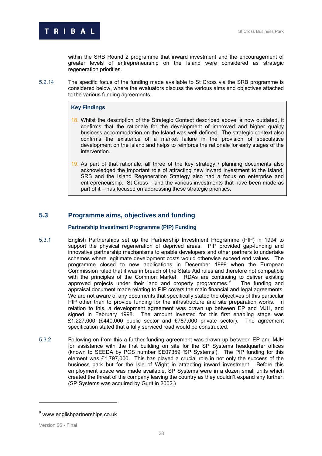

within the SRB Round 2 programme that inward investment and the encouragement of greater levels of entrepreneurship on the Island were considered as strategic regeneration priorities.

5.2.14 The specific focus of the funding made available to St Cross via the SRB programme is considered below, where the evaluators discuss the various aims and objectives attached to the various funding agreements.

#### **Key Findings**

- 18. Whilst the description of the Strategic Context described above is now outdated, it confirms that the rationale for the development of improved and higher quality business accommodation on the Island was well defined. The strategic context also confirms the existence of a market failure in the provision of speculative development on the Island and helps to reinforce the rationale for early stages of the intervention.
- 19. As part of that rationale, all three of the key strategy / planning documents also acknowledged the important role of attracting new inward investment to the Island. SRB and the Island Regeneration Strategy also had a focus on enterprise and entrepreneurship. St Cross – and the various investments that have been made as part of it – has focused on addressing these strategic priorities.

# **5.3** Programme aims, objectives and funding

#### **Partnership Investment Programme (PIP) Funding**

- 5.3.1 English Partnerships set up the Partnership Investment Programme (PIP) in 1994 to support the physical regeneration of deprived areas. PIP provided gap-funding and innovative partnership mechanisms to enable developers and other partners to undertake schemes where legitimate development costs would otherwise exceed end values. The programme closed to new applications in December 1999 when the European Commission ruled that it was in breach of the State Aid rules and therefore not compatible with the principles of the Common Market. RDAs are continuing to deliver existing approved projects under their land and property programmes.<sup>9</sup> The funding and appraisal document made relating to PIP covers the main financial and legal agreements. We are not aware of any documents that specifically stated the objectives of this particular PIP other than to provide funding for the infrastructure and site preparation works. In relation to this, a development agreement was drawn up between EP and MJH, and signed in February 1998. The amount invested for this first enabling stage was £1,227,000 (£440,000 public sector and £787,000 private sector). The agreement specification stated that a fully serviced road would be constructed.
- 5.3.2 Following on from this a further funding agreement was drawn up between EP and MJH for assistance with the first building on site for the SP Systems headquarter offices (known to SEEDA by PCS number SE07359 'SP Systems'). The PIP funding for this element was £1,797,000. This has played a crucial role in not only the success of the business park but for the Isle of Wight in attracting inward investment. Before this employment space was made available, SP Systems were in a dozen small units which created the threat of the company leaving the country as they couldn't expand any further. (SP Systems was acquired by Gurit in 2002.)

<sup>&</sup>lt;sup>9</sup> www.englishpartnerships.co.uk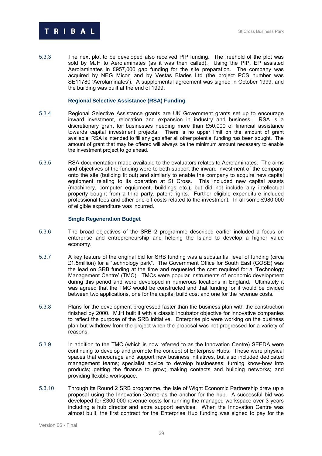

5.3.3 The next plot to be developed also received PIP funding. The freehold of the plot was sold by MJH to Aerolaminates (as it was then called). Using the PIP, EP assisted Aerolaminates in £957,000 gap funding for the site preparation. The company was acquired by NEG Micon and by Vestas Blades Ltd (the project PCS number was SE11780 'Aerolaminates'). A supplemental agreement was signed in October 1999, and the building was built at the end of 1999.

#### **Regional Selective Assistance (RSA) Funding**

- 5.3.4 150BRegional Selective Assistance grants are UK Government grants set up to encourage inward investment, relocation and expansion in industry and business. RSA is a discretionary grant for businesses needing more than £50,000 of financial assistance towards capital investment projects. There is no upper limit on the amount of grant available. RSA is intended to fill any gap after all other potential funding has been sought. The amount of grant that may be offered will always be the minimum amount necessary to enable the investment project to go ahead.
- 5.3.5 RSA documentation made available to the evaluators relates to Aerolaminates. The aims and objectives of the funding were to both support the inward investment of the company onto the site (building fit out) and similarly to enable the company to acquire new capital equipment relating to its operation at St Cross. This included new capital assets (machinery, computer equipment, buildings etc.), but did not include any intellectual property bought from a third party, patent rights. Further eligible expenditure included professional fees and other one-off costs related to the investment. In all some £980,000 of eligible expenditure was incurred.

#### **Single Regeneration Budget**

- 5.3.6 152BThe broad objectives of the SRB 2 programme described earlier included a focus on enterprise and entrepreneurship and helping the Island to develop a higher value economy.
- 5.3.7 A key feature of the original bid for SRB funding was a substantial level of funding (circa £1.5million) for a "technology park". The Government Office for South East (GOSE) was the lead on SRB funding at the time and requested the cost required for a 'Technology Management Centre' (TMC). TMCs were popular instruments of economic development during this period and were developed in numerous locations in England. Ultimately it was agreed that the TMC would be constructed and that funding for it would be divided between two applications, one for the capital build cost and one for the revenue costs.
- 5.3.8 Plans for the development progressed faster than the business plan with the construction finished by 2000. MJH built it with a classic incubator objective for innovative companies to reflect the purpose of the SRB initiative. Enterprise plc were working on the business plan but withdrew from the project when the proposal was not progressed for a variety of reasons.
- 5.3.9 In addition to the TMC (which is now referred to as the Innovation Centre) SEEDA were continuing to develop and promote the concept of Enterprise Hubs. These were physical spaces that encourage and support new business initiatives, but also included dedicated management teams; specialist advice to develop businesses; turning know-how into products; getting the finance to grow; making contacts and building networks; and providing flexible workspace.
- 5.3.10 Through its Round 2 SRB programme, the Isle of Wight Economic Partnership drew up a proposal using the Innovation Centre as the anchor for the hub. A successful bid was developed for £300,000 revenue costs for running the managed workspace over 3 years including a hub director and extra support services. When the Innovation Centre was almost built, the first contract for the Enterprise Hub funding was signed to pay for the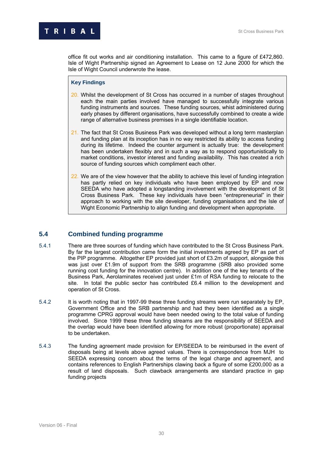**RIBAL** 

office fit out works and air conditioning installation. This came to a figure of £472,860. Isle of Wight Partnership signed an Agreement to Lease on 12 June 2000 for which the Isle of Wight Council underwrote the lease.

#### **Key Findings**

- 20. Whilst the development of St Cross has occurred in a number of stages throughout each the main parties involved have managed to successfully integrate various funding instruments and sources. These funding sources, whist administered during early phases by different organisations, have successfully combined to create a wide range of alternative business premises in a single identifiable location.
- 21. The fact that St Cross Business Park was developed without a long term masterplan and funding plan at its inception has in no way restricted its ability to access funding during its lifetime. Indeed the counter argument is actually true: the development has been undertaken flexibly and in such a way as to respond opportunistically to market conditions, investor interest and funding availability. This has created a rich source of funding sources which compliment each other.
- 22. We are of the view however that the ability to achieve this level of funding integration has partly relied on key individuals who have been employed by EP and now SEEDA who have adopted a longstanding involvement with the development of St Cross Business Park. These key individuals have been "entrepreneurial" in their approach to working with the site developer, funding organisations and the Isle of Wight Economic Partnership to align funding and development when appropriate.

# **5.4 Combined funding programme**

- 5.4.1 There are three sources of funding which have contributed to the St Cross Business Park. By far the largest contribution came form the initial investments agreed by EP as part of the PIP programme. Altogether EP provided just short of £3.2m of support, alongside this was just over £1.9m of support from the SRB programme (SRB also provided some running cost funding for the innovation centre). In addition one of the key tenants of the Business Park, Aerolaminates received just under £1m of RSA funding to relocate to the site. In total the public sector has contributed £6.4 million to the development and operation of St Cross.
- 5.4.2 It is worth noting that in 1997-99 these three funding streams were run separately by EP, Government Office and the SRB partnership and had they been identified as a single programme CPRG approval would have been needed owing to the total value of funding involved. Since 1999 these three funding streams are the responsibility of SEEDA and the overlap would have been identified allowing for more robust (proportionate) appraisal to be undertaken.
- 5.4.3 The funding agreement made provision for EP/SEEDA to be reimbursed in the event of disposals being at levels above agreed values. There is correspondence from MJH to SEEDA expressing concern about the terms of the legal charge and agreement, and contains references to English Partnerships clawing back a figure of some £200,000 as a result of land disposals. Such clawback arrangements are standard practice in gap funding projects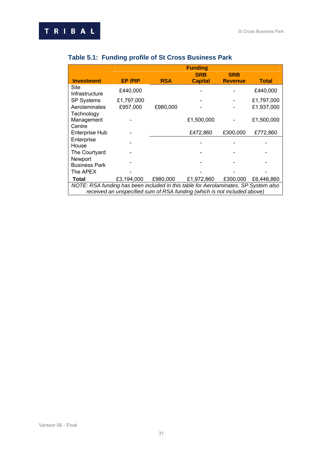|                                                                                     |                                                                          |            | <b>Funding</b> |                |              |  |  |  |  |
|-------------------------------------------------------------------------------------|--------------------------------------------------------------------------|------------|----------------|----------------|--------------|--|--|--|--|
|                                                                                     |                                                                          |            | <b>SRB</b>     | <b>SRB</b>     |              |  |  |  |  |
| <b>Investment</b>                                                                   | <b>EP/PIP</b>                                                            | <b>RSA</b> | <b>Capital</b> | <b>Revenue</b> | <b>Total</b> |  |  |  |  |
| Site<br>Infrastructure                                                              | £440,000                                                                 |            |                |                | £440,000     |  |  |  |  |
| <b>SP Systems</b>                                                                   | £1,797,000                                                               |            |                |                | £1,797,000   |  |  |  |  |
| Aerolaminates                                                                       | £957,000                                                                 | £980,000   |                |                | £1,937,000   |  |  |  |  |
| Technology<br>Management<br>Centre                                                  |                                                                          |            | £1,500,000     |                | £1,500,000   |  |  |  |  |
| <b>Enterprise Hub</b>                                                               |                                                                          |            | £472,860       | £300,000       | £772,860     |  |  |  |  |
| Enterprise<br>House                                                                 |                                                                          |            |                |                |              |  |  |  |  |
| The Courtyard                                                                       |                                                                          |            |                |                |              |  |  |  |  |
| Newport<br><b>Business Park</b>                                                     |                                                                          |            |                |                |              |  |  |  |  |
| The APEX                                                                            |                                                                          |            |                |                |              |  |  |  |  |
| Total                                                                               | £3,194,000                                                               | £980,000   | £1,972,860     | £300,000       | £6,446,860   |  |  |  |  |
| NOTE: RSA funding has been included in this table for Aerolaminates. SP System also |                                                                          |            |                |                |              |  |  |  |  |
|                                                                                     | received an unspecified sum of RSA funding (which is not included above) |            |                |                |              |  |  |  |  |

# **Table 5.1: Funding profile of St Cross Business Park**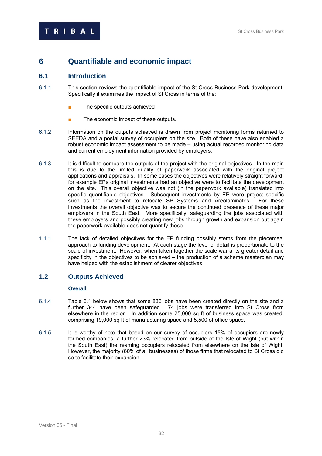# **6** 5B**Quantifiable and economic impact**

# **6.1** Introduction

- 6.1.1 This section reviews the quantifiable impact of the St Cross Business Park development. Specifically it examines the impact of St Cross in terms of the:
	- The specific outputs achieved
	- The economic impact of these outputs.
- 6.1.2 Information on the outputs achieved is drawn from project monitoring forms returned to SEEDA and a postal survey of occupiers on the site. Both of these have also enabled a robust economic impact assessment to be made – using actual recorded monitoring data and current employment information provided by employers.
- 6.1.3 It is difficult to compare the outputs of the project with the original objectives. In the main this is due to the limited quality of paperwork associated with the original project applications and appraisals. In some cases the objectives were relatively straight forward: for example EPs original investments had an objective were to facilitate the development on the site. This overall objective was not (in the paperwork available) translated into specific quantifiable objectives. Subsequent investments by EP were project specific such as the investment to relocate SP Systems and Areolaminates. For these investments the overall objective was to secure the continued presence of these major employers in the South East. More specifically, safeguarding the jobs associated with these employers and possibly creating new jobs through growth and expansion but again the paperwork available does not quantify these.
- 1.1.1 The lack of detailed objectives for the EP funding possibly stems from the piecemeal approach to funding development. At each stage the level of detail is proportionate to the scale of investment. However, when taken together the scale warrants greater detail and specificity in the objectives to be achieved – the production of a scheme masterplan may have helped with the establishment of clearer objectives.

# **1.2** Outputs Achieved

#### **Overall**

- 6.1.4 Table 6.1 below shows that some 836 jobs have been created directly on the site and a further 344 have been safeguarded. 74 jobs were transferred into St Cross from elsewhere in the region. In addition some 25,000 sq ft of business space was created, comprising 19,000 sq ft of manufacturing space and 5,500 of office space.
- 6.1.5 It is worthy of note that based on our survey of occupiers 15% of occupiers are newly formed companies, a further 23% relocated from outside of the Isle of Wight (but within the South East) the reaming occupiers relocated from elsewhere on the Isle of Wight. However, the majority (60% of all businesses) of those firms that relocated to St Cross did so to facilitate their expansion.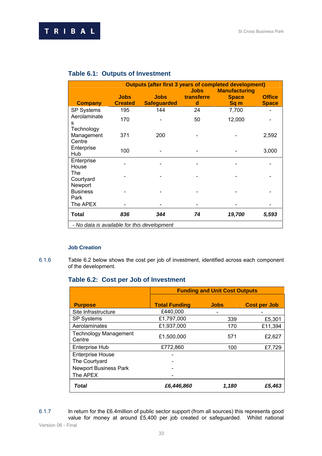|                                             |                               |                                   | <b>Jobs</b>     | <b>Outputs (after first 3 years of completed development)</b><br><b>Manufacturing</b> |                               |  |
|---------------------------------------------|-------------------------------|-----------------------------------|-----------------|---------------------------------------------------------------------------------------|-------------------------------|--|
| <b>Company</b>                              | <b>Jobs</b><br><b>Created</b> | <b>Jobs</b><br><b>Safeguarded</b> | transferre<br>d | <b>Space</b><br>Sq <sub>m</sub>                                                       | <b>Office</b><br><b>Space</b> |  |
| <b>SP Systems</b>                           | 195                           | 144                               | 24              | 7,700                                                                                 |                               |  |
| Aerolaminate<br>s                           | 170                           |                                   | 50              | 12,000                                                                                |                               |  |
| Technology<br>Management<br>Centre          | 371                           | 200                               |                 |                                                                                       | 2,592                         |  |
| Enterprise<br>Hub                           | 100                           |                                   |                 |                                                                                       | 3,000                         |  |
| Enterprise<br>House                         |                               |                                   |                 |                                                                                       |                               |  |
| The<br>Courtyard<br>Newport                 |                               |                                   |                 |                                                                                       |                               |  |
| <b>Business</b><br>Park                     |                               |                                   |                 |                                                                                       |                               |  |
| The APEX                                    |                               |                                   |                 |                                                                                       |                               |  |
| Total                                       | 836                           | 344                               | 74              | 19,700                                                                                | 5,593                         |  |
| - No data is available for this development |                               |                                   |                 |                                                                                       |                               |  |

# **Table 6.1: Outputs of Investment**

# **Job Creation**

6.1.6 Table 6.2 below shows the cost per job of investment, identified across each component of the development.

# **Table 6.2: Cost per Job of Investment**

|                                        | <b>Funding and Unit Cost Outputs</b> |             |                     |
|----------------------------------------|--------------------------------------|-------------|---------------------|
|                                        |                                      |             |                     |
| <b>Purpose</b>                         | <b>Total Funding</b>                 | <b>Jobs</b> | <b>Cost per Job</b> |
| Site Infrastructure                    | £440,000                             |             |                     |
| <b>SP Systems</b>                      | £1,797,000                           | 339         | £5,301              |
| Aerolaminates                          | £1,937,000                           | 170         | £11,394             |
| <b>Technology Management</b><br>Centre | £1,500,000                           | 571         | £2,627              |
| <b>Enterprise Hub</b>                  | £772,860                             | 100         | £7,729              |
| <b>Enterprise House</b>                |                                      |             |                     |
| The Courtyard                          |                                      |             |                     |
| <b>Newport Business Park</b>           |                                      |             |                     |
| The APEX                               |                                      |             |                     |
| Total                                  | £6,446,860                           | 1,180       | £5.463              |

6.1.7 In return for the £6.4million of public sector support (from all sources) this represents good value for money at around £5,400 per job created or safeguarded. Whilst national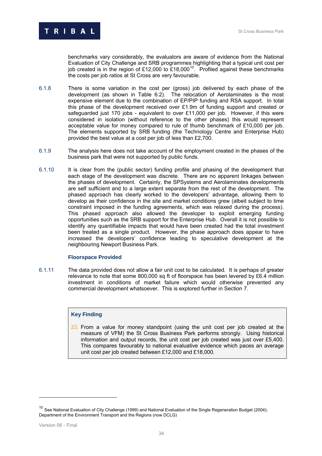benchmarks vary considerably, the evaluators are aware of evidence from the National Evaluation of City Challenge and SRB programmes highlighting that a typical unit cost per job created is in the region of £12,000 to  $E18,000^{10}$ . Profiled against these benchmarks the costs per job ratios at St Cross are very favourable.

- 6.1.8 There is some variation in the cost per (gross) job delivered by each phase of the development (as shown in Table 6.2). The relocation of Aerolaminates is the most expensive element due to the combination of EP/PIP funding and RSA support. In total this phase of the development received over £1.9m of funding support and created or safeguarded just 170 jobs - equivalent to over £11,000 per job. However, if this were considered in isolation (without reference to the other phases) this would represent acceptable value for money compared to rule of thumb benchmark of £10,000 per job. The elements supported by SRB funding (the Technology Centre and Enterprise Hub) provided the best value at a cost per job of less than £2,700.
- 6.1.9 The analysis here does not take account of the employment created in the phases of the business park that were not supported by public funds.
- 6.1.10 It is clear from the (public sector) funding profile and phasing of the development that each stage of the development was discrete. There are no apparent linkages between the phases of development. Certainly, the SPSystems and Aerolaminates developments are self sufficient and to a large extent separate from the rest of the development. The phased approach has clearly worked to the developers' advantage, allowing them to develop as their confidence in the site and market conditions grew (albeit subject to time constraint imposed in the funding agreements, which was relaxed during the process). This phased approach also allowed the developer to exploit emerging funding opportunities such as the SRB support for the Enterprise Hub. Overall it is not possible to identify any quantifiable impacts that would have been created had the total investment been treated as a single product. However, the phase approach does appear to have increased the developers' confidence leading to speculative development at the neighbouring Newport Business Park.

#### **Floorspace Provided**

6.1.11 The data provided does not allow a fair unit cost to be calculated. It is perhaps of greater relevance to note that some 800,000 sq ft of floorspace has been levered by £6.4 million investment in conditions of market failure which would otherwise prevented any commercial development whatsoever. This is explored further in Section 7.

#### **Key Finding**

23. From a value for money standpoint (using the unit cost per job created at the measure of VFM) the St Cross Business Park performs strongly. Using historical information and output records, the unit cost per job created was just over £5,400. This compares favourably to national evaluative evidence which paces an average unit cost per job created between £12,000 and £18,000.

 $10$  See National Evaluation of City Challenge (1999) and National Evaluation of the Single Regeneration Budget (2004); Department of the Environment Transport and the Regions (now DCLG)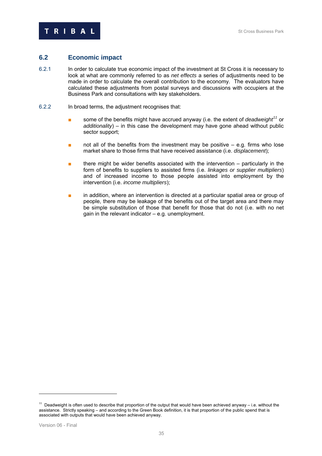# **6.2** 3B**Economic impact**

- 6.2.1 In order to calculate true economic impact of the investment at St Cross it is necessary to look at what are commonly referred to as *net effects* a series of adjustments need to be made in order to calculate the overall contribution to the economy. The evaluators have calculated these adjustments from postal surveys and discussions with occupiers at the Business Park and consultations with key stakeholders.
- 6.2.2 In broad terms, the adjustment recognises that:
	- some of the benefits might have accrued anyway (i.e. the extent of *deadweight*<sup>11</sup> or *additionality*) – in this case the development may have gone ahead without public sector support;
	- not all of the benefits from the investment may be positive  $-$  e.g. firms who lose market share to those firms that have received assistance (i.e. *displacement*);
	- there might be wider benefits associated with the intervention  $-$  particularly in the form of benefits to suppliers to assisted firms (i.e. *linkages or supplier multipliers*) and of increased income to those people assisted into employment by the intervention (i.e. *income multipliers*);
	- in addition, where an intervention is directed at a particular spatial area or group of people, there may be leakage of the benefits out of the target area and there may be simple substitution of those that benefit for those that do not (i.e. with no net gain in the relevant indicator – e.g. unemployment.

 $11$  Deadweight is often used to describe that proportion of the output that would have been achieved anyway  $-$  i.e. without the assistance. Strictly speaking – and according to the Green Book definition, it is that proportion of the public spend that is associated with outputs that would have been achieved anyway.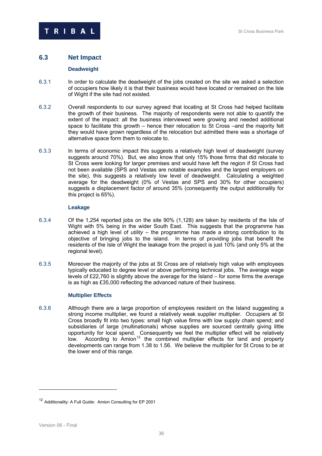

# **6.3** 34B**Net Impact**

#### **Deadweight**

- 6.3.1 In order to calculate the deadweight of the jobs created on the site we asked a selection of occupiers how likely it is that their business would have located or remained on the Isle of Wight if the site had not existed.
- 6.3.2 0verall respondents to our survey agreed that locating at St Cross had helped facilitate the growth of their business. The majority of respondents were not able to quantify the extent of the impact: all the business interviewed were growing and needed additional space to facilitate this growth – hence their relocation to St Cross –and the majority felt they would have grown regardless of the relocation but admitted there was a shortage of alternative space form them to relocate to.
- 6.3.3 In terms of economic impact this suggests a relatively high level of deadweight (survey suggests around 70%). But, we also know that only 15% those firms that did relocate to St Cross were looking for larger premises and would have left the region if St Cross had not been available (SPS and Vestas are notable examples and the largest employers on the site), this suggests a relatively low level of deadweight. Calculating a weighted  $average'$  for the deadweight (0% of Vestas and SPS and 30% for other occupiers) suggests a displacement factor of around 35% (consequently the output additionality for this project is 65%).

#### **Leakage**

- 6.3.4 Of the 1,254 reported jobs on the site 90% (1,128) are taken by residents of the Isle of Wight with 5% being in the wider South East. This suggests that the programme has achieved a high level of *utility* – the programme has made a strong contribution to its objective of bringing jobs to the island. In terms of providing jobs that benefit the residents of the Isle of Wight the leakage from the project is just 10% (and only 5% at the regional level).
- 6.3.5 Moreover the majority of the jobs at St Cross are of relatively high value with employees typically educated to degree level or above performing technical jobs. The average wage levels of £22,760 is slightly above the average for the Island – for some firms the average is as high as £35,000 reflecting the advanced nature of their business.

#### **Multiplier Effects**

6.3.6 179BAlthough there are a large proportion of employees resident on the Island suggesting a strong income multiplier, we found a relatively weak supplier multiplier. Occupiers at St Cross broadly fit into two types: small high value firms with low supply chain spend; and subsidiaries of large (multinationals) whose supplies are sourced centrally giving little opportunity for local spend. Consequently we feel the multiplier effect will be relatively low. According to Amion<sup>12</sup> the combined multiplier effects for land and property developments can range from 1.38 to 1.56. We believe the multiplier for St Cross to be at the lower end of this range.

<sup>12</sup> Additionality: A Full Guide: Amion Consulting for EP 2001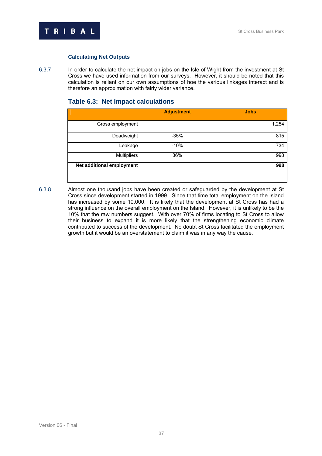

#### **Calculating Net Outputs**

6.3.7 In order to calculate the net impact on jobs on the Isle of Wight from the investment at St Cross we have used information from our surveys. However, it should be noted that this calculation is reliant on our own assumptions of hoe the various linkages interact and is therefore an approximation with fairly wider variance.

# **Table 6.3: Net Impact calculations**

|                           | <b>Adjustment</b> | <b>Jobs</b> |
|---------------------------|-------------------|-------------|
| Gross employment          |                   | 1,254       |
| Deadweight                | $-35%$            | 815         |
| Leakage                   | $-10%$            | 734         |
| <b>Multipliers</b>        | 36%               | 998         |
| Net additional employment |                   | 998         |

6.3.8 18BAlmost one thousand jobs have been created or safeguarded by the development at St Cross since development started in 1999. Since that time total employment on the Island has increased by some 10,000. It is likely that the development at St Cross has had a strong influence on the overall employment on the Island. However, it is unlikely to be the 10% that the raw numbers suggest. With over 70% of firms locating to St Cross to allow their business to expand it is more likely that the strengthening economic climate contributed to success of the development. No doubt St Cross facilitated the employment growth but it would be an overstatement to claim it was in any way the cause.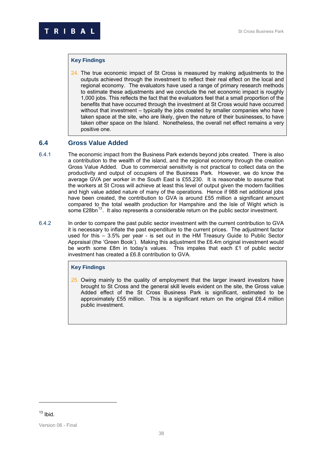#### **Key Findings**

24. The true economic impact of St Cross is measured by making adjustments to the outputs achieved through the investment to reflect their real effect on the local and regional economy. The evaluators have used a range of primary research methods to estimate these adjustments and we conclude the net economic impact is roughly 1,000 jobs. This reflects the fact that the evaluators feel that a small proportion of the benefits that have occurred through the investment at St Cross would have occurred without that investment – typically the jobs created by smaller companies who have taken space at the site, who are likely, given the nature of their businesses, to have taken other space on the Island. Nonetheless, the overall net effect remains a very positive one.

#### **6.4** 35B**Gross Value Added**

- 6.4.1 The economic impact from the Business Park extends beyond jobs created. There is also a contribution to the wealth of the island, and the regional economy through the creation Gross Value Added. Due to commercial sensitivity is not practical to collect data on the productivity and output of occupiers of the Business Park. However, we do know the average GVA per worker in the South East is £55,230. It is reasonable to assume that the workers at St Cross will achieve at least this level of output given the modern facilities and high value added nature of many of the operations. Hence if 988 net additional jobs have been created, the contribution to GVA is around £55 million a significant amount compared to the total wealth production for Hampshire and the Isle of Wight which is some £28bn $^{13}$ . It also represents a considerable return on the public sector investment.
- 6.4.2 In order to compare the past public sector investment with the current contribution to GVA it is necessary to inflate the past expenditure to the current prices. The adjustment factor used for this – 3.5% per year - is set out in the HM Treasury Guide to Public Sector Appraisal (the 'Green Book'). Making this adjustment the £6.4m original investment would be worth some £8m in today's values. This impales that each £1 of public sector investment has created a £6.8 contribution to GVA.

#### **Key Findings**

25. Owing mainly to the quality of employment that the larger inward investors have brought to St Cross and the general skill levels evident on the site, the Gross value Added effect of the St Cross Business Park is significant, estimated to be approximately £55 million. This is a significant return on the original £6.4 million public investment.

 $13$  Ibid.

Version 06 - Final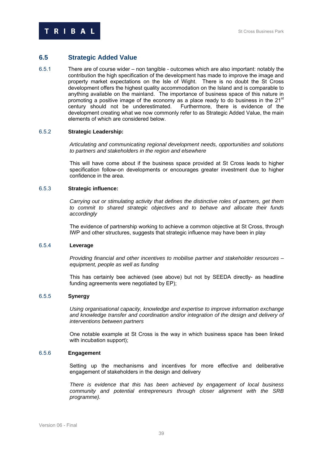

# **6.5 Strategic Added Value**

6.5.1 There are of course wider – non tangible - outcomes which are also important: notably the contribution the high specification of the development has made to improve the image and property market expectations on the Isle of Wight. There is no doubt the St Cross development offers the highest quality accommodation on the Island and is comparable to anything available on the mainland. The importance of business space of this nature in promoting a positive image of the economy as a place ready to do business in the 21<sup>st</sup> century should not be underestimated. Furthermore, there is evidence of the development creating what we now commonly refer to as Strategic Added Value, the main elements of which are considered below.

#### 6.5.2 **Strategic Leadership:**

*Articulating and communicating regional development needs, opportunities and solutions to partners and stakeholders in the region and elsewhere* 

This will have come about if the business space provided at St Cross leads to higher specification follow-on developments or encourages greater investment due to higher confidence in the area.

#### 6.5.3 187B**Strategic influence:**

*Carrying out or stimulating activity that defines the distinctive roles of partners, get them to commit to shared strategic objectives and to behave and allocate their funds accordingly* 

The evidence of partnership working to achieve a common objective at St Cross, through IWP and other structures, suggests that strategic influence may have been in play

#### 6.5.4 189B **Leverage**

*Providing financial and other incentives to mobilise partner and stakeholder resources – equipment, people as well as funding* 

This has certainly bee achieved (see above) but not by SEEDA directly- as headline funding agreements were negotiated by EP);

#### 6.5.5 19B**Synergy**

*Using organisational capacity, knowledge and expertise to improve information exchange and knowledge transfer and coordination and/or integration of the design and delivery of interventions between partners* 

One notable example at St Cross is the way in which business space has been linked with incubation support);

#### 6.5.6 193B**Engagement**

Setting up the mechanisms and incentives for more effective and deliberative engagement of stakeholders in the design and delivery

There is evidence that this has been achieved by engagement of local business *community and potential entrepreneurs through closer alignment with the SRB programme).*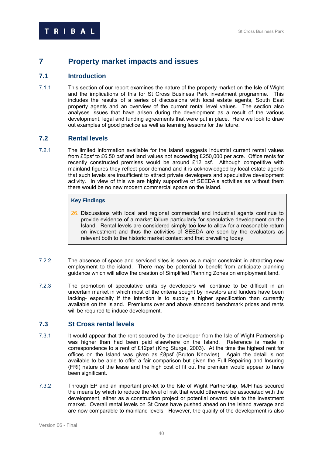# **7** 6B**Property market impacts and issues**

# **7.1 Introduction**

7.1.1 This section of our report examines the nature of the property market on the Isle of Wight and the implications of this for St Cross Business Park investment programme. This includes the results of a series of discussions with local estate agents, South East property agents and an overview of the current rental level values. The section also analyses issues that have arisen during the development as a result of the various development, legal and funding agreements that were put in place. Here we look to draw out examples of good practice as well as learning lessons for the future.

# **7.2 Rental levels**

7.2.1 The limited information available for the Island suggests industrial current rental values from £5psf to £6.50 psf and land values not exceeding £250,000 per acre. Office rents for recently constructed premises would be around £12 psf. Although competitive with mainland figures they reflect poor demand and it is acknowledged by local estate agents that such levels are insufficient to attract private developers and speculative development activity. In view of this we are highly supportive of SEEDA's activities as without them there would be no new modern commercial space on the Island.

# **Key Findings**

- 26. Discussions with local and regional commercial and industrial agents continue to provide evidence of a market failure particularly for speculative development on the Island. Rental levels are considered simply too low to allow for a reasonable return on investment and thus the activities of SEEDA are seen by the evaluators as relevant both to the historic market context and that prevailing today.
- 7.2.2 The absence of space and serviced sites is seen as a major constraint in attracting new employment to the island. There may be potential to benefit from anticipate planning guidance which will allow the creation of Simplified Planning Zones on employment land.
- 7.2.3 19BThe promotion of speculative units by developers will continue to be difficult in an uncertain market in which most of the criteria sought by investors and funders have been lacking- especially if the intention is to supply a higher specification than currently available on the Island. Premiums over and above standard benchmark prices and rents will be required to induce development.

# **7.3** 39B**St Cross rental levels**

- 7.3.1 It would appear that the rent secured by the developer from the Isle of Wight Partnership was higher than had been paid elsewhere on the Island. Reference is made in correspondence to a rent of £12psf (King Sturge, 2003). At the time the highest rent for offices on the Island was given as £8psf (Bruton Knowles). Again the detail is not available to be able to offer a fair comparison but given the Full Repairing and Insuring (FRI) nature of the lease and the high cost of fit out the premium would appear to have been significant.
- 7.3.2 Through EP and an important pre-let to the Isle of Wight Partnership, MJH has secured the means by which to reduce the level of risk that would otherwise be associated with the development, either as a construction project or potential onward sale to the investment market. Overall rental levels on St Cross have pushed ahead on the Island average and are now comparable to mainland levels. However, the quality of the development is also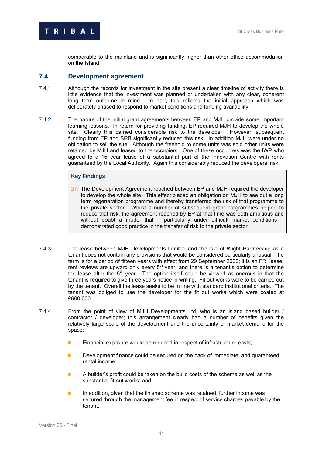comparable to the mainland and is significantly higher than other office accommodation on the Island.

## **7.4 Development agreement**

- 7.4.1 20BA Although the records for investment in the site present a clear timeline of activity there is little evidence that the investment was planned or undertaken with any clear, coherent long term outcome in mind. In part, this reflects the initial approach which was deliberately phased to respond to market conditions and funding availability.
- 7.4.2 The nature of the initial grant agreements between EP and MJH provide some important learning lessons. In return for providing funding, EP required MJH to develop the whole site. Clearly this carried considerable risk to the developer. However, subsequent funding from EP and SRB significantly reduced this risk. In addition MJH were under no obligation to sell the site. Although the freehold to some units was sold other units were retained by MJH and leased to the occupiers. One of these occupiers was the IWP who agreed to a 15 year lease of a substantial part of the Innovation Centre with rents guaranteed by the Local Authority. Again this considerably reduced the developers' risk.

#### **Key Findings**

- 27. The Development Agreement reached between EP and MJH required the developer to develop the whole site. This effect placed an obligation on MJH to see out a long term regeneration programme and thereby transferred the risk of that programme to the private sector. Whilst a number of subsequent grant programmes helped to reduce that risk, the agreement reached by EP at that time was both ambitious and without doubt a model that – particularly under difficult market conditions demonstrated good practice in the transfer of risk to the private sector.
- 7.4.3 The lease between MJH Developments Limited and the Isle of Wight Partnership as a tenant does not contain any provisions that would be considered particularly unusual. The term is for a period of fifteen years with effect from 29 September 2000; it is an FRI lease, rent reviews are upward only every  $5<sup>th</sup>$  year, and there is a tenant's option to determine the lease after the 5<sup>th</sup> year. The option itself could be viewed as onerous in that the tenant is required to give three years notice in writing. Fit out works were to be carried out by the tenant. Overall the lease seeks to be in line with standard institutional criteria. The tenant was obliged to use the developer for the fit out works which were costed at £600,000.
- 7.4.4 10 From the point of view of MJH Developments Ltd, who is an island based builder / contractor / developer; this arrangement clearly had a number of benefits given the relatively large scale of the development and the uncertainty of market demand for the space:
	- Financial exposure would be reduced in respect of infrastructure costs;
	- Development finance could be secured on the back of immediate and guaranteed rental income;
	- A builder's profit could be taken on the build costs of the scheme as well as the substantial fit out works; and
	- In addition, given that the finished scheme was retained, further income was secured through the management fee in respect of service charges payable by the tenant.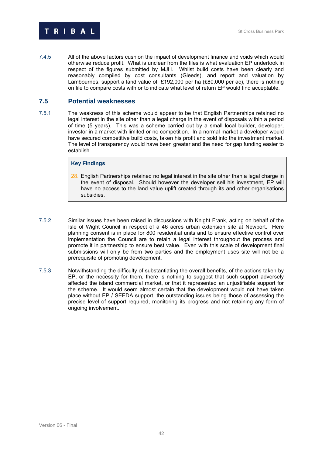

7.4.5 206BAll of the above factors cushion the impact of development finance and voids which would otherwise reduce profit. What is unclear from the files is what evaluation EP undertook in respect of the figures submitted by MJH. Whilst build costs have been clearly and reasonably compiled by cost consultants (Gleeds), and report and valuation by Lambournes, support a land value of £192,000 per ha (£80,000 per ac), there is nothing on file to compare costs with or to indicate what level of return EP would find acceptable.

#### **7.5** Potential weaknesses

7.5.1 The weakness of this scheme would appear to be that English Partnerships retained no legal interest in the site other than a legal charge in the event of disposals within a period of time (5 years). This was a scheme carried out by a small local builder, developer, investor in a market with limited or no competition. In a normal market a developer would have secured competitive build costs, taken his profit and sold into the investment market. The level of transparency would have been greater and the need for gap funding easier to establish.

#### **Key Findings**

- 28. English Partnerships retained no legal interest in the site other than a legal charge in the event of disposal. Should however the developer sell his investment, EP will have no access to the land value uplift created through its and other organisations subsidies.
- 7.5.2 Similar issues have been raised in discussions with Knight Frank, acting on behalf of the Isle of Wight Council in respect of a 46 acres urban extension site at Newport. Here planning consent is in place for 800 residential units and to ensure effective control over implementation the Council are to retain a legal interest throughout the process and promote it in partnership to ensure best value. Even with this scale of development final submissions will only be from two parties and the employment uses site will not be a prerequisite of promoting development.
- 7.5.3 209B Notwithstanding the difficulty of substantiating the overall benefits, of the actions taken by EP, or the necessity for them, there is nothing to suggest that such support adversely affected the island commercial market, or that it represented an unjustifiable support for the scheme. It would seem almost certain that the development would not have taken place without EP / SEEDA support, the outstanding issues being those of assessing the precise level of support required, monitoring its progress and not retaining any form of ongoing involvement.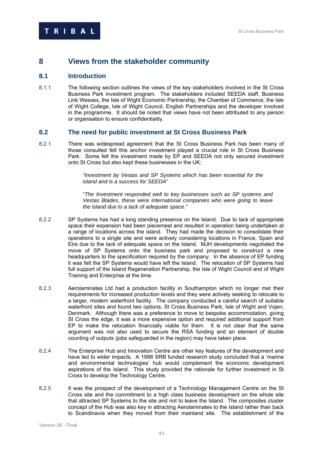# **8 7Views from the stakeholder community**

# **8.1 Introduction**

8.1.1 The following section outlines the views of the key stakeholders involved in the St Cross Business Park investment program. The stakeholders included SEEDA staff, Business Link Wessex, the Isle of Wight Economic Partnership, the Chamber of Commerce, the Isle of Wight College, Isle of Wight Council, English Partnerships and the developer involved in the programme. It should be noted that views have not been attributed to any person or organisation to ensure confidentiality.

# 8.2 **The need for public investment at St Cross Business Park**

8.2.1 There was widespread agreement that the St Cross Business Park has been many of those consulted felt this anchor investment played a crucial role in St Cross Business Park. Some felt the investment made by EP and SEEDA not only secured investment onto St Cross but also kept these businesses in the UK:

> <sup>"</sup>Investment by Vestas and SP Systems which has been essential for the *island and is a success for SEEDA"*

<sup>"</sup>The Investment responded well to key businesses such as SP systems and *Vestas Blades, these were international companies who were going to leave the island due to a lack of adequate space."* 

- 8.2.2 SP Systems has had a long standing presence on the Island. Due to lack of appropriate space their expansion had been piecemeal and resulted in operation being undertaken at a range of locations across the island. They had made the decision to consolidate their operations to a single site and were actively considering locations in France, Spain and Eire due to the lack of adequate space on the Island. MJH developments negotiated the move of SP Systems onto the business park and proposed to construct a new headquarters to the specification required by the company. In the absence of EP funding it was felt the SP Systems would have left the Island. The relocation of SP Systems had full support of the Island Regeneration Partnership, the Isle of Wight Council and of Wight Training and Enterprise at the time.
- 8.2.3 215BAerolaminates Ltd had a production facility in Southampton which no longer met their requirements for increased production levels and they were actively seeking to relocate to a larger, modern waterfront facility. The company conducted a careful search of suitable waterfront sites and found two options, St Cross Business Park, Isle of Wight and Vojen, Denmark. Although there was a preference to move to bespoke accommodation, giving St Cross the edge, it was a more expensive option and required additional support from EP to make the relocation financially viable for them. It is not clear that the same argument was not also used to secure the RSA funding and an element of double counting of outputs (jobs safeguarded in the region) may have taken place.
- 8.2.4 The Enterprise Hub and Innovation Centre are other key features of the development and have led to wider impacts. A 1998 SRB funded research study concluded that a 'marine and environmental technologies' hub would complement the economic development aspirations of the Island. This study provided the rationale for further investment in St Cross to develop the Technology Centre.
- 8.2.5 217 It was the prospect of the development of a Technology Management Centre on the St Cross site and the commitment to a high class business development on the whole site that attracted SP Systems to the site and not to leave the Island. The composites cluster concept of the Hub was also key in attracting Aerolaminates to the Island rather than back to Scandinavia when they moved from their mainland site. The establishment of the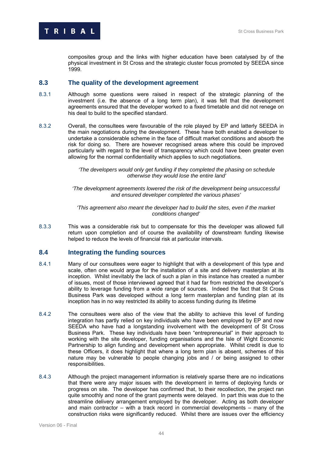composites group and the links with higher education have been catalysed by of the physical investment in St Cross and the strategic cluster focus promoted by SEEDA since 1999.

# **8.3** 4B**The quality of the development agreement**

- 8.3.1 218BAlthough some questions were raised in respect of the strategic planning of the investment (i.e. the absence of a long term plan), it was felt that the development agreements ensured that the developer worked to a fixed timetable and did not renege on his deal to build to the specified standard.
- 8.3.2 Overall, the consultees were favourable of the role played by EP and latterly SEEDA in the main negotiations during the development. These have both enabled a developer to undertake a considerable scheme in the face of difficult market conditions and absorb the risk for doing so. There are however recognised areas where this could be improved particularly with regard to the level of transparency which could have been greater even allowing for the normal confidentiality which applies to such negotiations.

<sup>'</sup>The developers would only get funding if they completed the phasing on schedule *otherwise they would lose the entire land'* 

21B*'The development agreements lowered the risk of the development being unsuccessful and ensured developer completed the various phases'* 

<sup>'</sup>This agreement also meant the developer had to build the sites, even if the market *conditions changed'* 

8.3.3 This was a considerable risk but to compensate for this the developer was allowed full return upon completion and of course the availability of downstream funding likewise helped to reduce the levels of financial risk at particular intervals.

# **8.4** 45B**Integrating the funding sources**

- 8.4.1 Many of our consultees were eager to highlight that with a development of this type and scale, often one would argue for the installation of a site and delivery masterplan at its inception. Whilst inevitably the lack of such a plan in this instance has created a number of issues, most of those interviewed agreed that it had far from restricted the developer's ability to leverage funding from a wide range of sources. Indeed the fact that St Cross Business Park was developed without a long term masterplan and funding plan at its inception has in no way restricted its ability to access funding during its lifetime
- 8.4.2 The consultees were also of the view that the ability to achieve this level of funding integration has partly relied on key individuals who have been employed by EP and now SEEDA who have had a longstanding involvement with the development of St Cross Business Park. These key individuals have been "entrepreneurial" in their approach to working with the site developer, funding organisations and the Isle of Wight Economic Partnership to align funding and development when appropriate. Whilst credit is due to these Officers, it does highlight that where a long term plan is absent, schemes of this nature may be vulnerable to people changing jobs and / or being assigned to other responsibilities.
- 8.4.3 Although the project management information is relatively sparse there are no indications that there were any major issues with the development in terms of deploying funds or progress on site. The developer has confirmed that, to their recollection, the project ran quite smoothly and none of the grant payments were delayed. In part this was due to the streamline delivery arrangement employed by the developer. Acting as both developer and main contractor – with a track record in commercial developments – many of the construction risks were significantly reduced. Whilst there are issues over the efficiency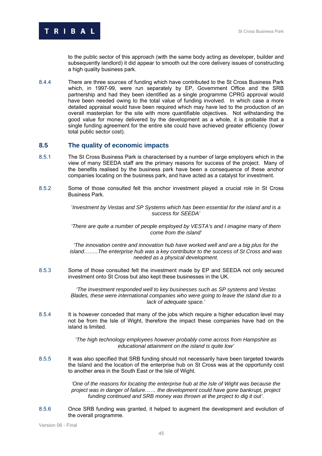

to the public sector of this approach (with the same body acting as developer, builder and subsequently landlord) it did appear to smooth out the core delivery issues of constructing a high quality business park.

8.4.4 There are three sources of funding which have contributed to the St Cross Business Park which, in 1997-99, were run separately by EP, Government Office and the SRB partnership and had they been identified as a single programme CPRG approval would have been needed owing to the total value of funding involved. In which case a more detailed appraisal would have been required which may have led to the production of an overall masterplan for the site with more quantifiable objectives. Not withstanding the good value for money delivered by the development as a whole, it is probable that a single funding agreement for the entire site could have achieved greater efficiency (lower total public sector cost).

#### **8.5 166** The quality of economic impacts

- 8.5.1 The St Cross Business Park is characterised by a number of large employers which in the view of many SEEDA staff are the primary reasons for success of the project. Many of the benefits realised by the business park have been a consequence of these anchor companies locating on the business park, and have acted as a catalyst for investment.
- 8.5.2 Some of those consulted felt this anchor investment played a crucial role in St Cross Business Park.

230B'*Investment by Vestas and SP Systems which has been essential for the island and is a success for SEEDA'*

<sup>'There</sup> are quite a number of people employed by VESTA's and I imagine many of them *come from the island'* 

<sup>'</sup>The innovation centre and innovation hub have worked well and are a big plus for the *island……..The enterprise hub was a key contributor to the success of St Cross and was needed as a physical development.* 

8.5.3 Some of those consulted felt the investment made by EP and SEEDA not only secured investment onto St Cross but also kept these businesses in the UK.

> 234B*'The Investment responded well to key businesses such as SP systems and Vestas Blades, these were international companies who were going to leave the island due to a lack of adequate space.'*

8.5.4 It is however conceded that many of the jobs which require a higher education level may not be from the Isle of Wight, therefore the impact these companies have had on the island is limited.

> <sup>'</sup>The high technology employees however probably come across from Hampshire as *educational attainment on the island is quite low'*

8.5.5 It was also specified that SRB funding should not necessarily have been targeted towards the Island and the location of the enterprise hub on St Cross was at the opportunity cost to another area in the South East or the Isle of Wight.

> 238B*'One of the reasons for locating the enterprise hub at the Isle of Wight was because the project was in danger of failure…… the development could have gone bankrupt, project funding continued and SRB money was thrown at the project to dig it out'*.

8.5.6 235.6 239 Once SRB funding was granted, it helped to augment the development and evolution of the overall programme.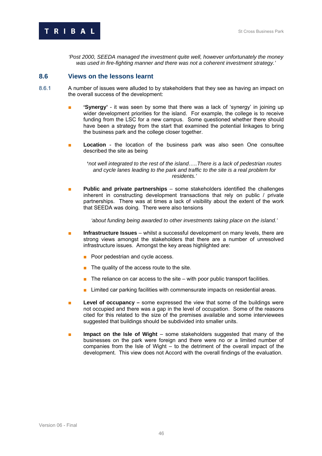

240B*'Post 2000, SEEDA managed the investment quite well, however unfortunately the money was used in fire-fighting manner and there was not a coherent investment strategy.'*

#### 8.6 **47 Views on the lessons learnt**

- 8.6.1 A number of issues were alluded to by stakeholders that they see as having an impact on the overall success of the development:
	- **'Synergy'** it was seen by some that there was a lack of 'synergy' in joining up wider development priorities for the island. For example, the college is to receive funding from the LSC for a new campus. Some questioned whether there should have been a strategy from the start that examined the potential linkages to bring the business park and the college closer together.
	- Location the location of the business park was also seen One consultee described the site as being

**'***not well integrated to the rest of the island…..There is a lack of pedestrian routes and cycle lanes leading to the park and traffic to the site is a real problem for residents.'*

**■ Public and private partnerships** – some stakeholders identified the challenges inherent in constructing development transactions that rely on public / private partnerships. There was at times a lack of visibility about the extent of the work that SEEDA was doing. There were also tensions

*'about funding being awarded to other investments taking place on the island.'*

- **Infrastructure Issues** whilst a successful development on many levels, there are strong views amongst the stakeholders that there are a number of unresolved infrastructure issues. Amongst the key areas highlighted are:
	- Poor pedestrian and cycle access.
	- The quality of the access route to the site.
	- $\blacksquare$  The reliance on car access to the site with poor public transport facilities.
	- Limited car parking facilities with commensurate impacts on residential areas.
- **Level of occupancy** some expressed the view that some of the buildings were not occupied and there was a gap in the level of occupation. Some of the reasons cited for this related to the size of the premises available and some interviewees suggested that buildings should be subdivided into smaller units.
- **Impact on the Isle of Wight** some stakeholders suggested that many of the businesses on the park were foreign and there were no or a limited number of companies from the Isle of Wight – to the detriment of the overall impact of the development. This view does not Accord with the overall findings of the evaluation.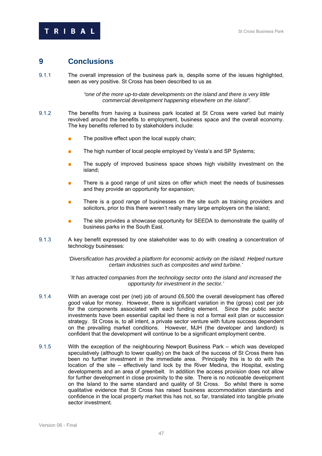# **9 Conclusions**

9.1.1 The overall impression of the business park is, despite some of the issues highlighted, seen as very positive. St Cross has been described to us as

> 243B*"one of the more up-to-date developments on the island and there is very little commercial development happening elsewhere on the island".*

- 9.1.2 The benefits from having a business park located at St Cross were varied but mainly revolved around the benefits to employment, business space and the overall economy. The key benefits referred to by stakeholders include:
	- The positive effect upon the local supply chain;
	- The high number of local people employed by Vesta's and SP Systems;
	- The supply of improved business space shows high visibility investment on the island;
	- There is a good range of unit sizes on offer which meet the needs of businesses and they provide an opportunity for expansion;
	- There is a good range of businesses on the site such as training providers and solicitors, prior to this there weren't really many large employers on the island;
	- The site provides a showcase opportunity for SEEDA to demonstrate the quality of business parks in the South East.
- 9.1.3 A key benefit expressed by one stakeholder was to do with creating a concentration of technology businesses:

*'Diversification has provided a platform for economic activity on the island. Helped nurture certain industries such as composites and wind turbine.'* 

*'It has attracted companies from the technology sector onto the island and increased the opportunity for investment in the sector.'* 

- 9.1.4 With an average cost per (net) job of around £6,500 the overall development has offered good value for money. However, there is significant variation in the (gross) cost per job for the components associated with each funding element. Since the public sector investments have been essential capital led there is not a formal exit plan or succession strategy. St Cross is, to all intent, a private sector venture with future success dependent on the prevailing market conditions. However, MJH (the developer and landlord) is confident that the development will continue to be a significant employment centre.
- 9.1.5 With the exception of the neighbouring Newport Business Park which was developed speculatively (although to lower quality) on the back of the success of St Cross there has been no further investment in the immediate area. Principally this is to do with the location of the site – effectively land lock by the River Medina, the Hospital, existing developments and an area of greenbelt. In addition the access provision does not allow for further development in close proximity to the site. There is no noticeable development on the Island to the same standard and quality of St Cross. So whilst there is some qualitative evidence that St Cross has raised business accommodation standards and confidence in the local property market this has not, so far, translated into tangible private sector investment.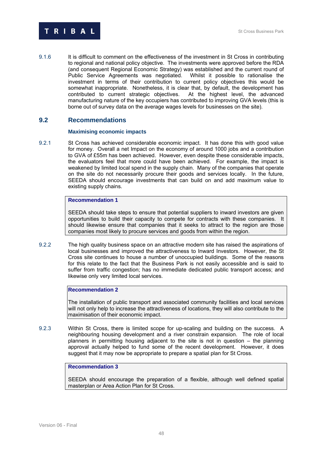

9.1.6 It is difficult to comment on the effectiveness of the investment in St Cross in contributing to regional and national policy objective. The investments were approved before the RDA (and consequent Regional Economic Strategy) was established and the current round of Public Service Agreements was negotiated. Whilst it possible to rationalise the investment in terms of their contribution to current policy objectives this would be somewhat inappropriate. Nonetheless, it is clear that, by default, the development has contributed to current strategic objectives. At the highest level, the advanced manufacturing nature of the key occupiers has contributed to improving GVA levels (this is borne out of survey data on the average wages levels for businesses on the site).

# **9.2** Recommendations

#### 49B**Maximising economic impacts**

9.2.1 St Cross has achieved considerable economic impact. It has done this with good value for money. Overall a net Impact on the economy of around 1000 jobs and a contribution to GVA of £55m has been achieved. However, even despite these considerable impacts, the evaluators feel that more could have been achieved. For example, the impact is weakened by limited local spend in the supply chain. Many of the companies that operate on the site do not necessarily procure their goods and services locally. In the future, SEEDA should encourage investments that can build on and add maximum value to existing supply chains.

#### **Recommendation 1**

SEEDA should take steps to ensure that potential suppliers to inward investors are given opportunities to build their capacity to compete for contracts with these companies. It should likewise ensure that companies that it seeks to attract to the region are those companies most likely to procure services and goods from within the region.

9.2.2 The high quality business space on an attractive modern site has raised the aspirations of local businesses and improved the attractiveness to Inward Investors. However, the St Cross site continues to house a number of unoccupied buildings. Some of the reasons for this relate to the fact that the Business Park is not easily accessible and is said to suffer from traffic congestion; has no immediate dedicated public transport access; and likewise only very limited local services.

#### **Recommendation 2**

The installation of public transport and associated community facilities and local services will not only help to increase the attractiveness of locations, they will also contribute to the maximisation of their economic impact.

9.2.3 Within St Cross, there is limited scope for up-scaling and building on the success. A neighbouring housing development and a river constrain expansion. The role of local planners in permitting housing adjacent to the site is not in question – the planning approval actually helped to fund some of the recent development. However, it does suggest that it may now be appropriate to prepare a spatial plan for St Cross.

#### **Recommendation 3**

SEEDA should encourage the preparation of a flexible, although well defined spatial masterplan or Area Action Plan for St Cross.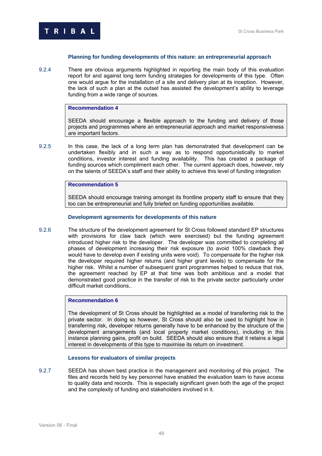

#### **Planning for funding developments of this nature: an entrepreneurial approach**

9.2.4 There are obvious arguments highlighted in reporting the main body of this evaluation report for and against long term funding strategies for developments of this type. Often one would argue for the installation of a site and delivery plan at its inception. However, the lack of such a plan at the outset has assisted the development's ability to leverage funding from a wide range of sources.

#### **Recommendation 4**

SEEDA should encourage a flexible approach to the funding and delivery of those projects and programmes where an entrepreneurial approach and market responsiveness are important factors.

9.2.5 In this case, the lack of a long term plan has demonstrated that development can be undertaken flexibly and in such a way as to respond opportunistically to market conditions, investor interest and funding availability. This has created a package of funding sources which compliment each other. The current approach does, however, rely on the talents of SEEDA's staff and their ability to achieve this level of funding integration

#### **Recommendation 5**

SEEDA should encourage training amongst its frontline property staff to ensure that they too can be entrepreneurial and fully briefed on funding opportunities available.

#### **Development agreements for developments of this nature**

9.2.6 The structure of the development agreement for St Cross followed standard EP structures with provisions for claw back (which were exercised) but the funding agreement introduced higher risk to the developer. The developer was committed to completing all phases of development increasing their risk exposure (to avoid 100% clawback they would have to develop even if existing units were void). To compensate for the higher risk the developer required higher returns (and higher grant levels) to compensate for the higher risk. Whilst a number of subsequent grant programmes helped to reduce that risk, the agreement reached by EP at that time was both ambitious and a model that demonstrated good practice in the transfer of risk to the private sector particularly under difficult market conditions..

#### **Recommendation 6**

The development of St Cross should be highlighted as a model of transferring risk to the private sector. In doing so however, St Cross should also be used to highlight how in transferring risk, developer returns generally have to be enhanced by the structure of the development arrangements (and local property market conditions), including in this instance planning gains, profit on build. SEEDA should also ensure that it retains a legal interest in developments of this type to maximise its return on investment.

#### **Lessons for evaluators of similar projects**

9.2.7 SEEDA has shown best practice in the management and monitoring of this project. The files and records held by key personnel have enabled the evaluation team to have access to quality data and records. This is especially significant given both the age of the project and the complexity of funding and stakeholders involved in it.